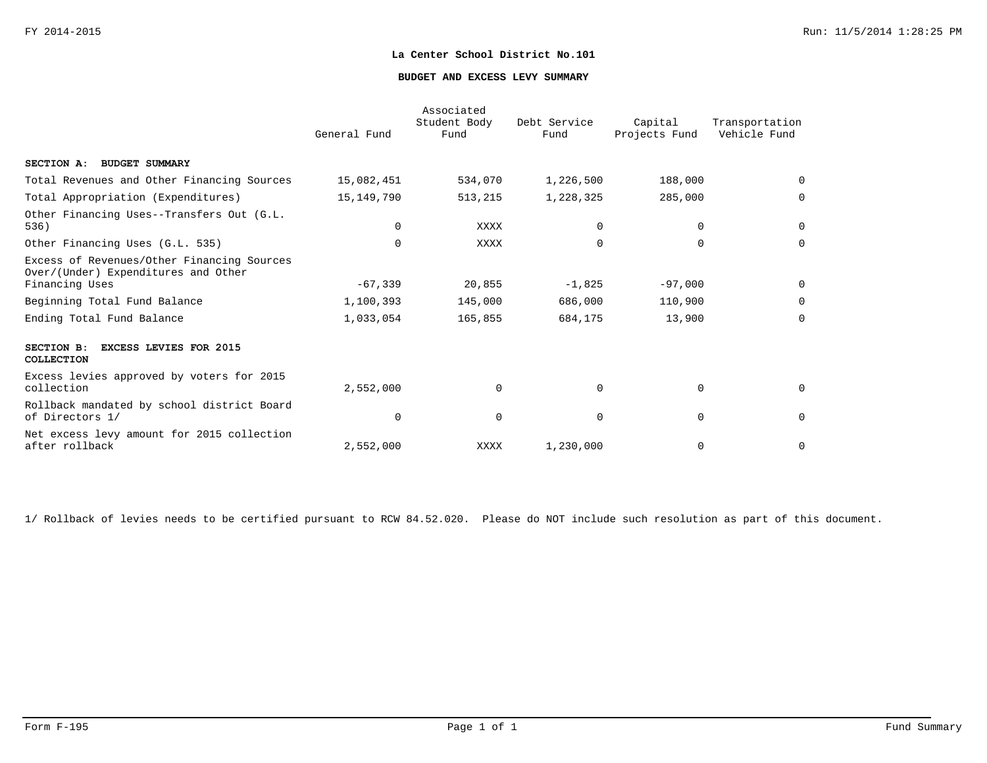## **BUDGET AND EXCESS LEVY SUMMARY**

|                                                                                                     | General Fund | Associated<br>Student Body<br>Fund | Debt Service<br>Fund | Capital<br>Projects Fund | Transportation<br>Vehicle Fund |
|-----------------------------------------------------------------------------------------------------|--------------|------------------------------------|----------------------|--------------------------|--------------------------------|
| SECTION A: BUDGET SUMMARY                                                                           |              |                                    |                      |                          |                                |
| Total Revenues and Other Financing Sources                                                          | 15,082,451   | 534,070                            | 1,226,500            | 188,000                  | $\Omega$                       |
| Total Appropriation (Expenditures)                                                                  | 15, 149, 790 | 513,215                            | 1,228,325            | 285,000                  | $\Omega$                       |
| Other Financing Uses--Transfers Out (G.L.<br>536)                                                   | $\Omega$     | XXXX                               | $\Omega$             | 0                        | 0                              |
| Other Financing Uses (G.L. 535)                                                                     | $\Omega$     | XXXX                               | $\Omega$             | $\Omega$                 | $\Omega$                       |
| Excess of Revenues/Other Financing Sources<br>Over/(Under) Expenditures and Other<br>Financing Uses | $-67,339$    | 20,855                             | $-1,825$             | $-97,000$                | 0                              |
| Beginning Total Fund Balance                                                                        | 1,100,393    | 145,000                            | 686,000              | 110,900                  | $\Omega$                       |
| Ending Total Fund Balance                                                                           | 1,033,054    | 165,855                            | 684,175              | 13,900                   | $\mathbf 0$                    |
| SECTION B:<br><b>EXCESS LEVIES FOR 2015</b><br>COLLECTION                                           |              |                                    |                      |                          |                                |
| Excess levies approved by voters for 2015<br>collection                                             | 2,552,000    | $\mathbf 0$                        | $\Omega$             | $\mathbf 0$              | 0                              |
| Rollback mandated by school district Board<br>of Directors 1/                                       | $\Omega$     | $\mathbf 0$                        | $\Omega$             | $\mathbf 0$              | $\mathbf 0$                    |
| Net excess levy amount for 2015 collection<br>after rollback                                        | 2,552,000    | XXXX                               | 1,230,000            | $\mathbf 0$              | $\mathbf 0$                    |

1/ Rollback of levies needs to be certified pursuant to RCW 84.52.020. Please do NOT include such resolution as part of this document.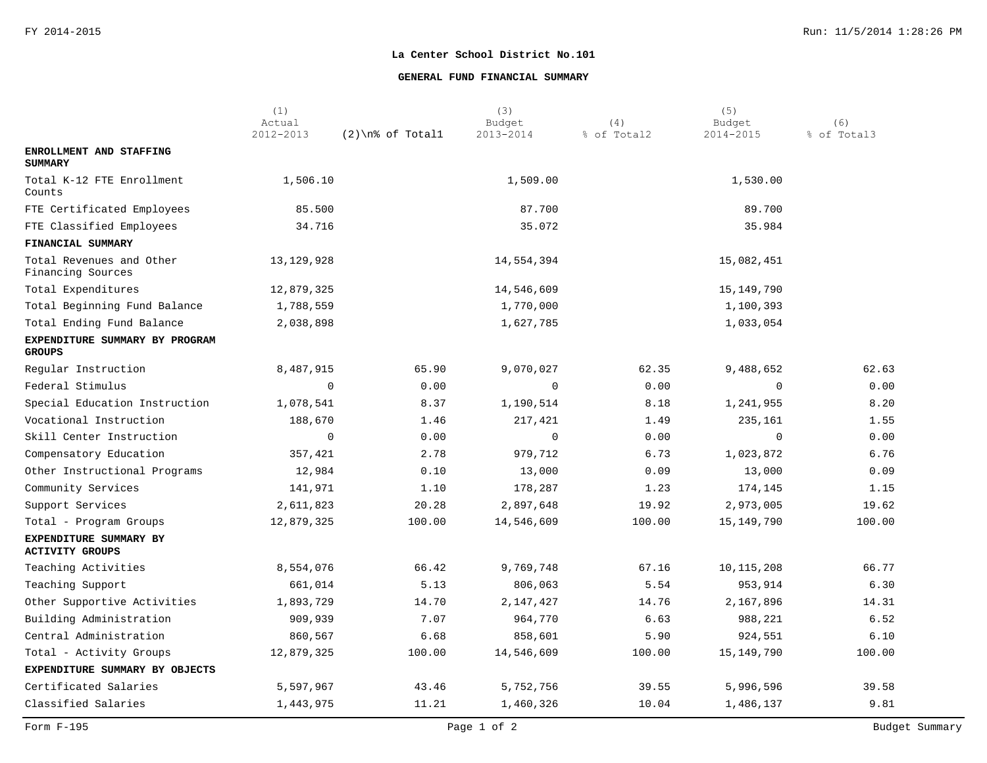## **GENERAL FUND FINANCIAL SUMMARY**

|                                                  | (1)<br>Actual |                     | (3)<br>Budget | (4)         | (5)<br>Budget | (6)         |
|--------------------------------------------------|---------------|---------------------|---------------|-------------|---------------|-------------|
|                                                  | 2012-2013     | $(2)$ \n% of Totall | 2013-2014     | % of Total2 | 2014-2015     | % of Total3 |
| ENROLLMENT AND STAFFING<br><b>SUMMARY</b>        |               |                     |               |             |               |             |
| Total K-12 FTE Enrollment<br>Counts              | 1,506.10      |                     | 1,509.00      |             | 1,530.00      |             |
| FTE Certificated Employees                       | 85.500        |                     | 87.700        |             | 89.700        |             |
| FTE Classified Employees                         | 34.716        |                     | 35.072        |             | 35.984        |             |
| FINANCIAL SUMMARY                                |               |                     |               |             |               |             |
| Total Revenues and Other<br>Financing Sources    | 13, 129, 928  |                     | 14,554,394    |             | 15,082,451    |             |
| Total Expenditures                               | 12,879,325    |                     | 14,546,609    |             | 15,149,790    |             |
| Total Beginning Fund Balance                     | 1,788,559     |                     | 1,770,000     |             | 1,100,393     |             |
| Total Ending Fund Balance                        | 2,038,898     |                     | 1,627,785     |             | 1,033,054     |             |
| EXPENDITURE SUMMARY BY PROGRAM<br><b>GROUPS</b>  |               |                     |               |             |               |             |
| Regular Instruction                              | 8,487,915     | 65.90               | 9,070,027     | 62.35       | 9,488,652     | 62.63       |
| Federal Stimulus                                 | $\mathbf 0$   | 0.00                | $\mathbf 0$   | 0.00        | $\Omega$      | 0.00        |
| Special Education Instruction                    | 1,078,541     | 8.37                | 1,190,514     | 8.18        | 1,241,955     | 8.20        |
| Vocational Instruction                           | 188,670       | 1.46                | 217,421       | 1.49        | 235,161       | 1.55        |
| Skill Center Instruction                         | $\mathbf 0$   | 0.00                | $\mathbf 0$   | 0.00        | 0             | 0.00        |
| Compensatory Education                           | 357,421       | 2.78                | 979,712       | 6.73        | 1,023,872     | 6.76        |
| Other Instructional Programs                     | 12,984        | 0.10                | 13,000        | 0.09        | 13,000        | 0.09        |
| Community Services                               | 141,971       | 1.10                | 178,287       | 1.23        | 174,145       | 1.15        |
| Support Services                                 | 2,611,823     | 20.28               | 2,897,648     | 19.92       | 2,973,005     | 19.62       |
| Total - Program Groups                           | 12,879,325    | 100.00              | 14,546,609    | 100.00      | 15,149,790    | 100.00      |
| EXPENDITURE SUMMARY BY<br><b>ACTIVITY GROUPS</b> |               |                     |               |             |               |             |
| Teaching Activities                              | 8,554,076     | 66.42               | 9,769,748     | 67.16       | 10,115,208    | 66.77       |
| Teaching Support                                 | 661,014       | 5.13                | 806,063       | 5.54        | 953,914       | 6.30        |
| Other Supportive Activities                      | 1,893,729     | 14.70               | 2,147,427     | 14.76       | 2,167,896     | 14.31       |
| Building Administration                          | 909,939       | 7.07                | 964,770       | 6.63        | 988,221       | 6.52        |
| Central Administration                           | 860,567       | 6.68                | 858,601       | 5.90        | 924,551       | 6.10        |
| Total - Activity Groups                          | 12,879,325    | 100.00              | 14,546,609    | 100.00      | 15,149,790    | 100.00      |
| EXPENDITURE SUMMARY BY OBJECTS                   |               |                     |               |             |               |             |
| Certificated Salaries                            | 5,597,967     | 43.46               | 5,752,756     | 39.55       | 5,996,596     | 39.58       |
| Classified Salaries                              | 1,443,975     | 11.21               | 1,460,326     | 10.04       | 1,486,137     | 9.81        |
|                                                  |               |                     |               |             |               |             |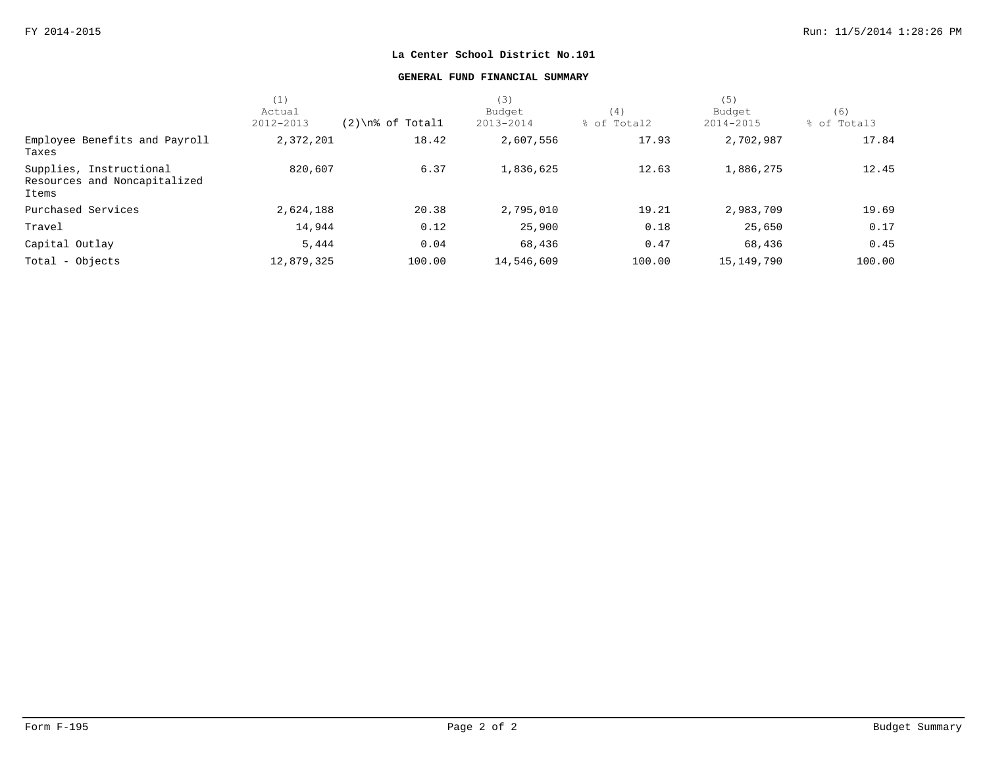## **GENERAL FUND FINANCIAL SUMMARY**

|                                                                  | (1)        |                     | (3)        |             | (5)          |             |
|------------------------------------------------------------------|------------|---------------------|------------|-------------|--------------|-------------|
|                                                                  | Actual     |                     | Budget     | (4)         | Budget       | (6)         |
|                                                                  | 2012-2013  | $(2)$ \n% of Totall | 2013-2014  | % of Total2 | 2014-2015    | % of Total3 |
| Employee Benefits and Payroll<br>Taxes                           | 2,372,201  | 18.42               | 2,607,556  | 17.93       | 2,702,987    | 17.84       |
| Supplies, Instructional<br>Resources and Noncapitalized<br>Items | 820,607    | 6.37                | 1,836,625  | 12.63       | 1,886,275    | 12.45       |
| Purchased Services                                               | 2,624,188  | 20.38               | 2,795,010  | 19.21       | 2,983,709    | 19.69       |
| Travel                                                           | 14,944     | 0.12                | 25,900     | 0.18        | 25,650       | 0.17        |
| Capital Outlay                                                   | 5,444      | 0.04                | 68,436     | 0.47        | 68,436       | 0.45        |
| Total - Objects                                                  | 12,879,325 | 100.00              | 14,546,609 | 100.00      | 15, 149, 790 | 100.00      |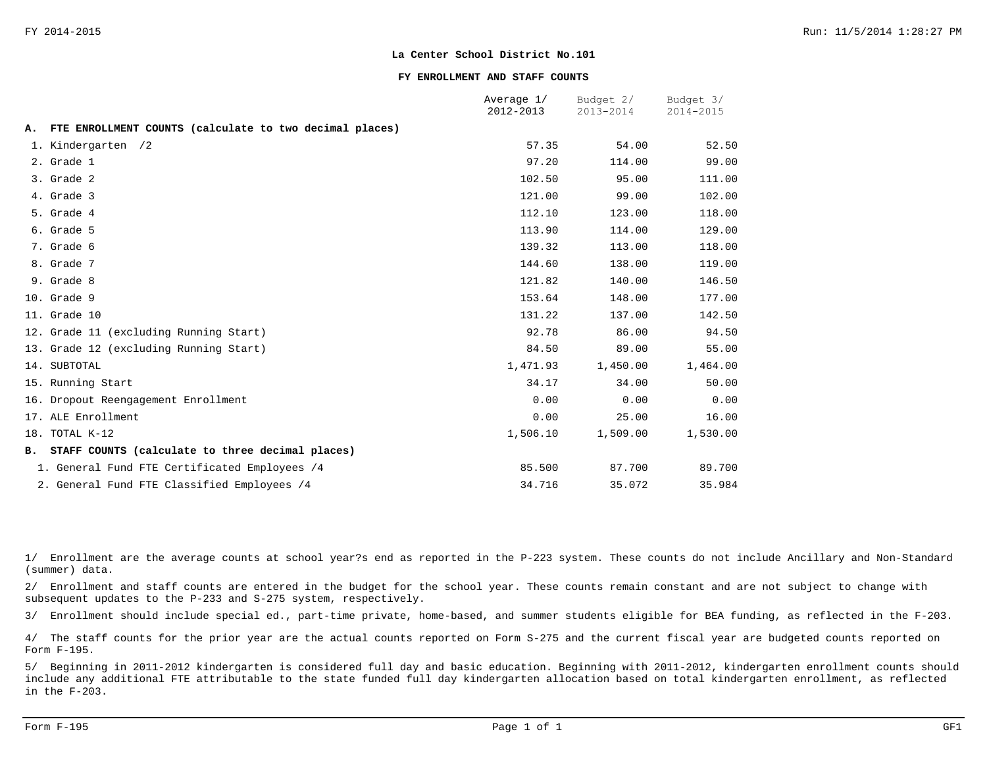#### **FY ENROLLMENT AND STAFF COUNTS**

|    |                                                         | Average 1/<br>2012-2013 | Budget 2/<br>2013-2014 | Budget 3/<br>2014-2015 |
|----|---------------------------------------------------------|-------------------------|------------------------|------------------------|
| Α. | FTE ENROLLMENT COUNTS (calculate to two decimal places) |                         |                        |                        |
|    | 1. Kindergarten /2                                      | 57.35                   | 54.00                  | 52.50                  |
|    | 2. Grade 1                                              | 97.20                   | 114.00                 | 99.00                  |
|    | 3. Grade 2                                              | 102.50                  | 95.00                  | 111.00                 |
|    | 4. Grade 3                                              | 121.00                  | 99.00                  | 102.00                 |
|    | 5. Grade 4                                              | 112.10                  | 123.00                 | 118.00                 |
|    | 6. Grade 5                                              | 113.90                  | 114.00                 | 129.00                 |
|    | 7. Grade 6                                              | 139.32                  | 113.00                 | 118.00                 |
|    | 8. Grade 7                                              | 144.60                  | 138.00                 | 119.00                 |
|    | 9. Grade 8                                              | 121.82                  | 140.00                 | 146.50                 |
|    | 10. Grade 9                                             | 153.64                  | 148.00                 | 177.00                 |
|    | 11. Grade 10                                            | 131.22                  | 137.00                 | 142.50                 |
|    | 12. Grade 11 (excluding Running Start)                  | 92.78                   | 86.00                  | 94.50                  |
|    | 13. Grade 12 (excluding Running Start)                  | 84.50                   | 89.00                  | 55.00                  |
|    | 14. SUBTOTAL                                            | 1,471.93                | 1,450.00               | 1,464.00               |
|    | 15. Running Start                                       | 34.17                   | 34.00                  | 50.00                  |
|    | 16. Dropout Reengagement Enrollment                     | 0.00                    | 0.00                   | 0.00                   |
|    | 17. ALE Enrollment                                      | 0.00                    | 25.00                  | 16.00                  |
|    | 18. TOTAL K-12                                          | 1,506.10                | 1,509.00               | 1,530.00               |
|    | B. STAFF COUNTS (calculate to three decimal places)     |                         |                        |                        |
|    | 1. General Fund FTE Certificated Employees /4           | 85.500                  | 87.700                 | 89.700                 |
|    | 2. General Fund FTE Classified Employees /4             | 34.716                  | 35.072                 | 35.984                 |

1/ Enrollment are the average counts at school year?s end as reported in the P-223 system. These counts do not include Ancillary and Non-Standard (summer) data.

2/ Enrollment and staff counts are entered in the budget for the school year. These counts remain constant and are not subject to change with subsequent updates to the P-233 and S-275 system, respectively.

3/ Enrollment should include special ed., part-time private, home-based, and summer students eligible for BEA funding, as reflected in the F-203.

4/ The staff counts for the prior year are the actual counts reported on Form S-275 and the current fiscal year are budgeted counts reported on Form F-195.

5/ Beginning in 2011-2012 kindergarten is considered full day and basic education. Beginning with 2011-2012, kindergarten enrollment counts should include any additional FTE attributable to the state funded full day kindergarten allocation based on total kindergarten enrollment, as reflected in the F-203.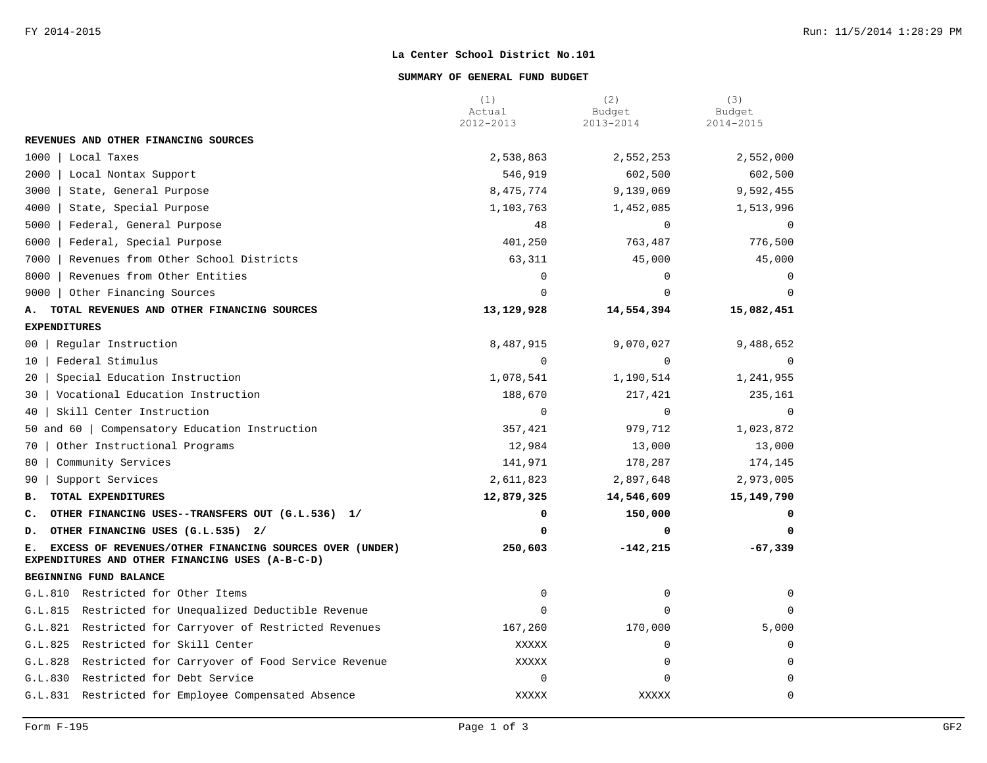### **SUMMARY OF GENERAL FUND BUDGET**

|                                                                                                                  | (1)<br>Actual | (2)<br>Budget | (3)<br>Budget  |
|------------------------------------------------------------------------------------------------------------------|---------------|---------------|----------------|
|                                                                                                                  | 2012-2013     | 2013-2014     | 2014-2015      |
| REVENUES AND OTHER FINANCING SOURCES                                                                             |               |               |                |
| 1000<br>Local Taxes                                                                                              | 2,538,863     | 2,552,253     | 2,552,000      |
| 2000<br>Local Nontax Support                                                                                     | 546,919       | 602,500       | 602,500        |
| 3000<br>State, General Purpose                                                                                   | 8,475,774     | 9,139,069     | 9,592,455      |
| 4000<br>State, Special Purpose                                                                                   | 1,103,763     | 1,452,085     | 1,513,996      |
| Federal, General Purpose<br>5000                                                                                 | 48            | $\Omega$      | $\overline{0}$ |
| 6000<br>Federal, Special Purpose                                                                                 | 401,250       | 763,487       | 776,500        |
| Revenues from Other School Districts<br>7000                                                                     | 63,311        | 45,000        | 45,000         |
| Revenues from Other Entities<br>8000                                                                             | $\Omega$      | $\Omega$      | $\Omega$       |
| 9000   Other Financing Sources                                                                                   | $\Omega$      | $\Omega$      | $\Omega$       |
| TOTAL REVENUES AND OTHER FINANCING SOURCES<br>А.                                                                 | 13,129,928    | 14,554,394    | 15,082,451     |
| <b>EXPENDITURES</b>                                                                                              |               |               |                |
| Regular Instruction<br>00                                                                                        | 8,487,915     | 9,070,027     | 9,488,652      |
| Federal Stimulus<br>$10 \,$                                                                                      | $\mathbf 0$   | $\mathbf 0$   | $\mathbf 0$    |
| Special Education Instruction<br>20                                                                              | 1,078,541     | 1,190,514     | 1,241,955      |
| Vocational Education Instruction<br>30                                                                           | 188,670       | 217,421       | 235,161        |
| Skill Center Instruction<br>40                                                                                   | $\mathbf 0$   | $\mathbf 0$   | $\mathbf 0$    |
| 50 and 60   Compensatory Education Instruction                                                                   | 357,421       | 979,712       | 1,023,872      |
| Other Instructional Programs<br>70                                                                               | 12,984        | 13,000        | 13,000         |
| Community Services<br>80                                                                                         | 141,971       | 178,287       | 174,145        |
| Support Services<br>90                                                                                           | 2,611,823     | 2,897,648     | 2,973,005      |
| TOTAL EXPENDITURES<br>в.                                                                                         | 12,879,325    | 14,546,609    | 15, 149, 790   |
| OTHER FINANCING USES--TRANSFERS OUT (G.L.536) 1/<br>c.                                                           | 0             | 150,000       |                |
| OTHER FINANCING USES (G.L.535) 2/<br>D.                                                                          | 0             | 0             | 0              |
| EXCESS OF REVENUES/OTHER FINANCING SOURCES OVER (UNDER)<br>Е.<br>EXPENDITURES AND OTHER FINANCING USES (A-B-C-D) | 250,603       | $-142, 215$   | $-67,339$      |
| BEGINNING FUND BALANCE                                                                                           |               |               |                |
| G.L.810 Restricted for Other Items                                                                               | 0             | 0             | $\Omega$       |
| G.L.815<br>Restricted for Unequalized Deductible Revenue                                                         | $\Omega$      | $\Omega$      | $\Omega$       |
| G.L.821<br>Restricted for Carryover of Restricted Revenues                                                       | 167,260       | 170,000       | 5,000          |
| G.L.825<br>Restricted for Skill Center                                                                           | XXXXX         | $\Omega$      | $\Omega$       |
| G.L.828<br>Restricted for Carryover of Food Service Revenue                                                      | <b>XXXXX</b>  | 0             | $\Omega$       |
| Restricted for Debt Service<br>G.L.830                                                                           | 0             | $\mathbf 0$   | $\Omega$       |
| G.L.831 Restricted for Employee Compensated Absence                                                              | <b>XXXXX</b>  | XXXXX         | $\mathbf 0$    |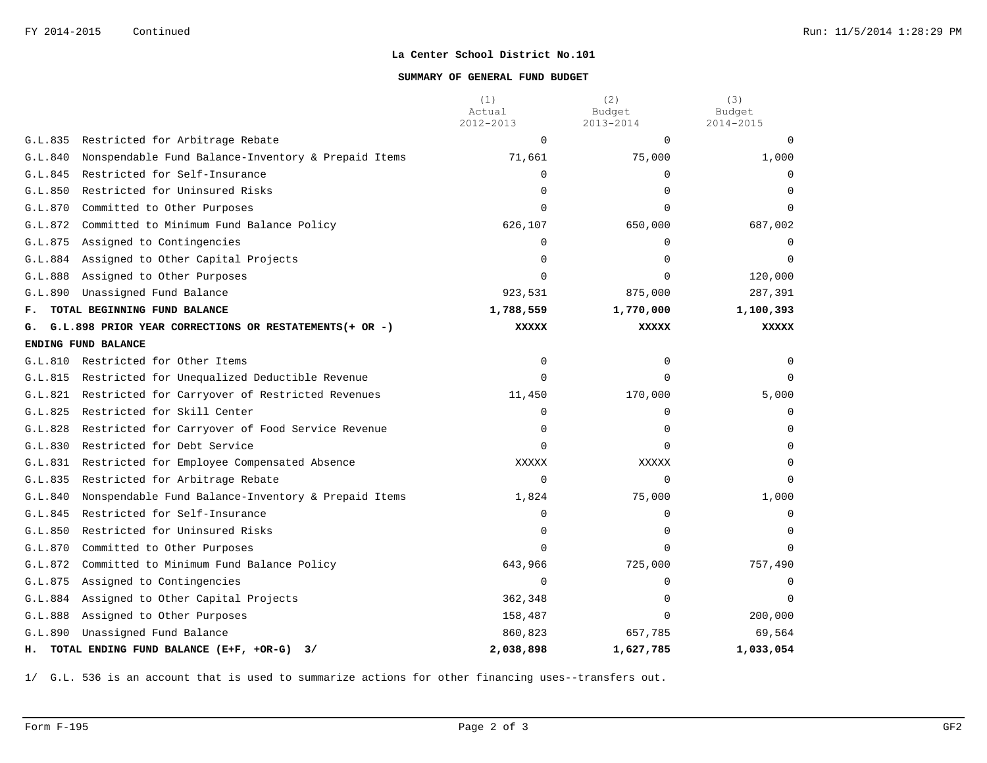## **SUMMARY OF GENERAL FUND BUDGET**

|         |                                                            | (1)<br>Actual<br>2012-2013 | (2)<br>Budget<br>2013-2014 | (3)<br>Budget<br>2014-2015 |
|---------|------------------------------------------------------------|----------------------------|----------------------------|----------------------------|
| G.L.835 | Restricted for Arbitrage Rebate                            | $\mathbf 0$                | $\Omega$                   | $\Omega$                   |
| G.L.840 | Nonspendable Fund Balance-Inventory & Prepaid Items        | 71,661                     | 75,000                     | 1,000                      |
| G.L.845 | Restricted for Self-Insurance                              | $\Omega$                   | $\Omega$                   | $\Omega$                   |
| G.L.850 | Restricted for Uninsured Risks                             | $\Omega$                   | $\Omega$                   |                            |
| G.L.870 | Committed to Other Purposes                                | $\Omega$                   | $\Omega$                   | $\Omega$                   |
| G.L.872 | Committed to Minimum Fund Balance Policy                   | 626,107                    | 650,000                    | 687,002                    |
| G.L.875 | Assigned to Contingencies                                  | $\mathbf 0$                | $\Omega$                   | $\Omega$                   |
|         | G.L.884 Assigned to Other Capital Projects                 | $\Omega$                   | $\Omega$                   |                            |
| G.L.888 | Assigned to Other Purposes                                 | $\Omega$                   | 0                          | 120,000                    |
| G.L.890 | Unassigned Fund Balance                                    | 923,531                    | 875,000                    | 287,391                    |
| F.      | TOTAL BEGINNING FUND BALANCE                               | 1,788,559                  | 1,770,000                  | 1,100,393                  |
| G.      | G.L.898 PRIOR YEAR CORRECTIONS OR RESTATEMENTS(+ OR -)     | <b>XXXXX</b>               | <b>XXXXX</b>               | <b>XXXXX</b>               |
|         | ENDING FUND BALANCE                                        |                            |                            |                            |
| G.L.810 | Restricted for Other Items                                 | $\mathbf 0$                | $\Omega$                   |                            |
| G.L.815 | Restricted for Unequalized Deductible Revenue              | $\mathbf 0$                | 0                          |                            |
|         | G.L.821 Restricted for Carryover of Restricted Revenues    | 11,450                     | 170,000                    | 5,000                      |
| G.L.825 | Restricted for Skill Center                                | $\mathbf 0$                | 0                          | $\Omega$                   |
| G.L.828 | Restricted for Carryover of Food Service Revenue           | 0                          | 0                          | $\cap$                     |
| G.L.830 | Restricted for Debt Service                                | $\Omega$                   | $\Omega$                   |                            |
| G.L.831 | Restricted for Employee Compensated Absence                | <b>XXXXX</b>               | XXXXX                      | $\Omega$                   |
| G.L.835 | Restricted for Arbitrage Rebate                            | $\Omega$                   | $\Omega$                   |                            |
| G.L.840 | Nonspendable Fund Balance-Inventory & Prepaid Items        | 1,824                      | 75,000                     | 1,000                      |
| G.L.845 | Restricted for Self-Insurance                              | $\mathbf 0$                | 0                          | $\Omega$                   |
| G.L.850 | Restricted for Uninsured Risks                             | 0                          | 0                          | $\Omega$                   |
| G.L.870 | Committed to Other Purposes                                | $\Omega$                   | $\Omega$                   |                            |
| G.L.872 | Committed to Minimum Fund Balance Policy                   | 643,966                    | 725,000                    | 757,490                    |
| G.L.875 | Assigned to Contingencies                                  | $\Omega$                   | $\Omega$                   |                            |
| G.L.884 | Assigned to Other Capital Projects                         | 362,348                    | 0                          |                            |
| G.L.888 | Assigned to Other Purposes                                 | 158,487                    | $\Omega$                   | 200,000                    |
| G.L.890 | Unassigned Fund Balance                                    | 860,823                    | 657,785                    | 69,564                     |
|         | H. TOTAL ENDING FUND BALANCE (E+F, +OR-G)<br>$\frac{3}{2}$ | 2,038,898                  | 1,627,785                  | 1,033,054                  |

1/ G.L. 536 is an account that is used to summarize actions for other financing uses--transfers out.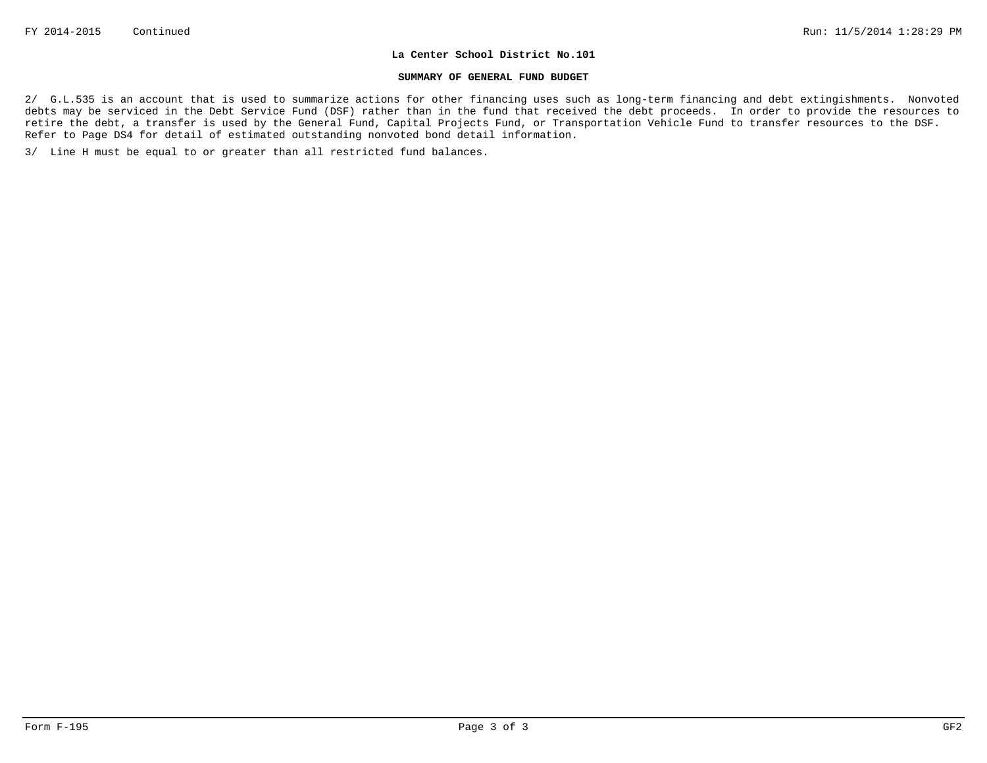#### **SUMMARY OF GENERAL FUND BUDGET**

2/ G.L.535 is an account that is used to summarize actions for other financing uses such as long-term financing and debt extingishments. Nonvoted debts may be serviced in the Debt Service Fund (DSF) rather than in the fund that received the debt proceeds. In order to provide the resources to retire the debt, a transfer is used by the General Fund, Capital Projects Fund, or Transportation Vehicle Fund to transfer resources to the DSF. Refer to Page DS4 for detail of estimated outstanding nonvoted bond detail information.

3/ Line H must be equal to or greater than all restricted fund balances.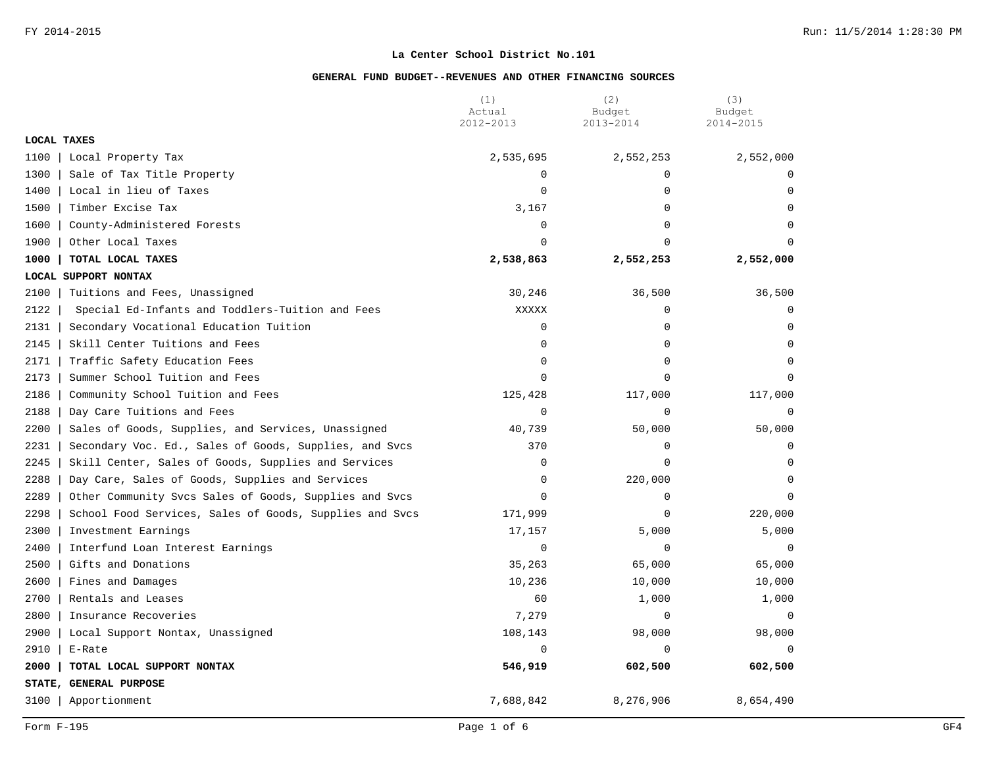|                    |                                                         | (1)<br>Actual | (2)<br>Budget | (3)<br>Budget |
|--------------------|---------------------------------------------------------|---------------|---------------|---------------|
|                    |                                                         | 2012-2013     | 2013-2014     | 2014-2015     |
| <b>LOCAL TAXES</b> |                                                         |               |               |               |
| 1100               | Local Property Tax                                      | 2,535,695     | 2,552,253     | 2,552,000     |
| 1300               | Sale of Tax Title Property                              | $\Omega$      | $\Omega$      |               |
| 1400               | Local in lieu of Taxes                                  | $\Omega$      | $\mathbf 0$   | $\Omega$      |
| 1500               | Timber Excise Tax                                       | 3,167         | $\Omega$      | $\Omega$      |
| 1600               | County-Administered Forests                             | $\mathbf 0$   | 0             | $\Omega$      |
| 1900               | Other Local Taxes                                       | $\Omega$      | $\Omega$      |               |
| 1000               | TOTAL LOCAL TAXES                                       | 2,538,863     | 2,552,253     | 2,552,000     |
|                    | LOCAL SUPPORT NONTAX                                    |               |               |               |
| 2100               | Tuitions and Fees, Unassigned                           | 30,246        | 36,500        | 36,500        |
| 2122               | Special Ed-Infants and Toddlers-Tuition and Fees        | <b>XXXXX</b>  | 0             | $\mathbf 0$   |
| 2131               | Secondary Vocational Education Tuition                  | $\mathbf 0$   | $\mathbf 0$   | $\mathbf 0$   |
| 2145               | Skill Center Tuitions and Fees                          | $\mathbf 0$   | $\Omega$      | $\Omega$      |
| 2171               | Traffic Safety Education Fees                           | $\mathbf 0$   | $\Omega$      | $\Omega$      |
| 2173               | Summer School Tuition and Fees                          | $\mathbf 0$   | $\Omega$      | $\Omega$      |
| 2186               | Community School Tuition and Fees                       | 125,428       | 117,000       | 117,000       |
| 2188               | Day Care Tuitions and Fees                              | $\mathbf 0$   | $\mathbf 0$   | $\mathbf 0$   |
| 2200               | Sales of Goods, Supplies, and Services, Unassigned      | 40,739        | 50,000        | 50,000        |
| 2231               | Secondary Voc. Ed., Sales of Goods, Supplies, and Svcs  | 370           | $\Omega$      | $\Omega$      |
| 2245               | Skill Center, Sales of Goods, Supplies and Services     | $\mathbf 0$   | $\Omega$      | $\cap$        |
| 2288               | Day Care, Sales of Goods, Supplies and Services         | $\mathbf 0$   | 220,000       | $\Omega$      |
| 2289               | Other Community Svcs Sales of Goods, Supplies and Svcs  | $\mathbf 0$   | $\mathbf 0$   | $\Omega$      |
| 2298               | School Food Services, Sales of Goods, Supplies and Svcs | 171,999       | $\Omega$      | 220,000       |
| 2300               | Investment Earnings                                     | 17,157        | 5,000         | 5,000         |
| 2400               | Interfund Loan Interest Earnings                        | $\mathbf 0$   | $\mathbf 0$   | $\Omega$      |
| 2500               | Gifts and Donations                                     | 35,263        | 65,000        | 65,000        |
| 2600               | Fines and Damages                                       | 10,236        | 10,000        | 10,000        |
| 2700               | Rentals and Leases                                      | 60            | 1,000         | 1,000         |
| 2800               | Insurance Recoveries                                    | 7,279         | $\mathbf 0$   | $\Omega$      |
| 2900               | Local Support Nontax, Unassigned                        | 108,143       | 98,000        | 98,000        |
| 2910               | E-Rate                                                  | $\Omega$      | $\Omega$      | $\Omega$      |
| 2000               | TOTAL LOCAL SUPPORT NONTAX                              | 546,919       | 602,500       | 602,500       |
|                    | STATE, GENERAL PURPOSE                                  |               |               |               |
| 3100               | Apportionment                                           | 7,688,842     | 8,276,906     | 8,654,490     |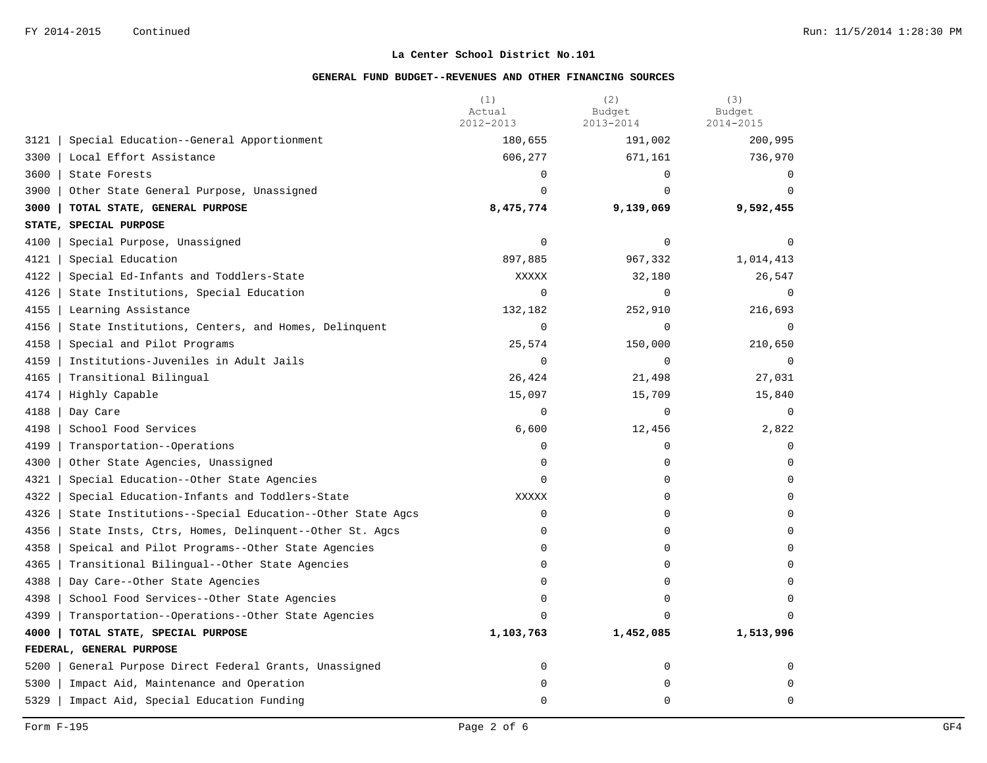|      |                                                         | (1)<br>Actual<br>2012-2013 | (2)<br>Budget<br>2013-2014 | (3)<br>Budget<br>2014-2015 |
|------|---------------------------------------------------------|----------------------------|----------------------------|----------------------------|
| 3121 | Special Education--General Apportionment                | 180,655                    | 191,002                    | 200,995                    |
| 3300 | Local Effort Assistance                                 | 606,277                    | 671,161                    | 736,970                    |
| 3600 | State Forests                                           | $\mathbf 0$                | 0                          | $\Omega$                   |
| 3900 | Other State General Purpose, Unassigned                 | $\Omega$                   | $\Omega$                   | $\Omega$                   |
| 3000 | TOTAL STATE, GENERAL PURPOSE                            | 8,475,774                  | 9,139,069                  | 9,592,455                  |
|      | STATE, SPECIAL PURPOSE                                  |                            |                            |                            |
| 4100 | Special Purpose, Unassigned                             | $\mathbf 0$                | 0                          | $\Omega$                   |
| 4121 | Special Education                                       | 897,885                    | 967,332                    | 1,014,413                  |
| 4122 | Special Ed-Infants and Toddlers-State                   | XXXXX                      | 32,180                     | 26,547                     |
| 4126 | State Institutions, Special Education                   | $\mathbf 0$                | 0                          | $\overline{0}$             |
| 4155 | Learning Assistance                                     | 132,182                    | 252,910                    | 216,693                    |
| 4156 | State Institutions, Centers, and Homes, Delinquent      | $\mathbf 0$                | 0                          | $\Omega$                   |
| 4158 | Special and Pilot Programs                              | 25,574                     | 150,000                    | 210,650                    |
| 4159 | Institutions-Juveniles in Adult Jails                   | $\mathbf 0$                | 0                          | $\Omega$                   |
| 4165 | Transitional Bilingual                                  | 26,424                     | 21,498                     | 27,031                     |
| 4174 | Highly Capable                                          | 15,097                     | 15,709                     | 15,840                     |
| 4188 | Day Care                                                | $\mathbf 0$                | 0                          | $\mathbf 0$                |
| 4198 | School Food Services                                    | 6,600                      | 12,456                     | 2,822                      |
| 4199 | Transportation--Operations                              | $\mathbf 0$                | 0                          | $\Omega$                   |
| 4300 | Other State Agencies, Unassigned                        | $\Omega$                   | $\Omega$                   | $\Omega$                   |
| 4321 | Special Education--Other State Agencies                 | $\mathbf 0$                | 0                          | $\mathbf 0$                |
| 4322 | Special Education-Infants and Toddlers-State            | <b>XXXXX</b>               | 0                          | $\mathbf 0$                |
| 4326 | State Institutions--Special Education--Other State Agcs | $\mathbf 0$                | $\Omega$                   | $\Omega$                   |
| 4356 | State Insts, Ctrs, Homes, Delinquent--Other St. Agcs    | $\mathbf 0$                | 0                          | $\mathbf 0$                |
| 4358 | Speical and Pilot Programs--Other State Agencies        | $\mathbf 0$                | 0                          | $\Omega$                   |
| 4365 | Transitional Bilingual--Other State Agencies            | $\Omega$                   | $\Omega$                   | $\Omega$                   |
| 4388 | Day Care--Other State Agencies                          | $\Omega$                   | $\Omega$                   | $\Omega$                   |
| 4398 | School Food Services--Other State Agencies              | 0                          | 0                          | $\Omega$                   |
| 4399 | Transportation--Operations--Other State Agencies        | $\Omega$                   | U                          |                            |
| 4000 | TOTAL STATE, SPECIAL PURPOSE                            | 1,103,763                  | 1,452,085                  | 1,513,996                  |
|      | FEDERAL, GENERAL PURPOSE                                |                            |                            |                            |
| 5200 | General Purpose Direct Federal Grants, Unassigned       | $\mathbf 0$                | 0                          | 0                          |
| 5300 | Impact Aid, Maintenance and Operation                   | $\mathbf 0$                | 0                          | $\mathbf 0$                |
| 5329 | Impact Aid, Special Education Funding                   | $\Omega$                   | $\Omega$                   | $\Omega$                   |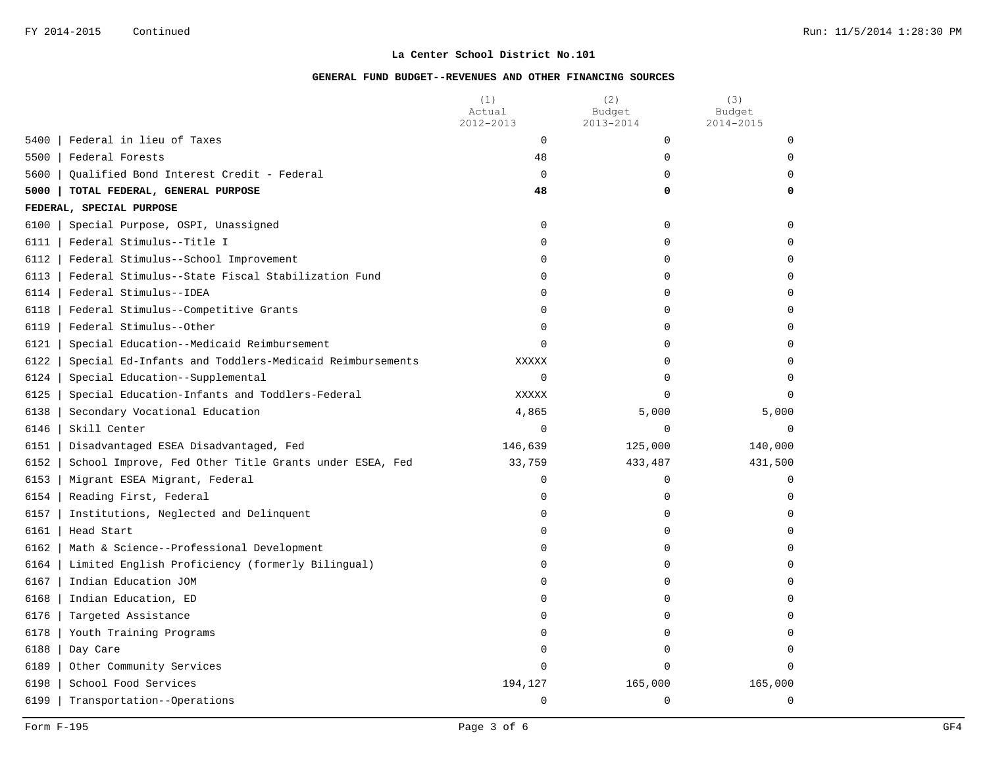|                                                                 | (1)<br>Actual<br>2012-2013 | (2)<br>Budget<br>2013-2014 | (3)<br>Budget<br>2014-2015 |
|-----------------------------------------------------------------|----------------------------|----------------------------|----------------------------|
| Federal in lieu of Taxes<br>5400                                | 0                          | 0                          | $\Omega$                   |
| 5500<br>Federal Forests                                         | 48                         | 0                          | $\Omega$                   |
| 5600<br>Oualified Bond Interest Credit - Federal                | $\mathbf 0$                | 0                          | $\Omega$                   |
| 5000<br>TOTAL FEDERAL, GENERAL PURPOSE                          | 48                         | 0                          | 0                          |
| FEDERAL, SPECIAL PURPOSE                                        |                            |                            |                            |
| 6100<br>Special Purpose, OSPI, Unassigned                       | 0                          | 0                          | $\mathbf 0$                |
| Federal Stimulus--Title I<br>6111                               | 0                          | $\Omega$                   | $\Omega$                   |
| 6112<br>Federal Stimulus--School Improvement                    | 0                          | $\Omega$                   | $\Omega$                   |
| Federal Stimulus--State Fiscal Stabilization Fund<br>6113       | $\Omega$                   | $\Omega$                   | $\Omega$                   |
| 6114<br>Federal Stimulus--IDEA                                  | 0                          | 0                          | $\mathbf 0$                |
| 6118<br>Federal Stimulus--Competitive Grants                    | 0                          | 0                          | $\Omega$                   |
| 6119<br>Federal Stimulus--Other                                 | 0                          | 0                          | $\Omega$                   |
| 6121<br>Special Education--Medicaid Reimbursement               | $\Omega$                   | 0                          | $\Omega$                   |
| Special Ed-Infants and Toddlers-Medicaid Reimbursements<br>6122 | XXXXX                      | $\Omega$                   | $\Omega$                   |
| 6124<br>Special Education--Supplemental                         | 0                          | $\Omega$                   | $\Omega$                   |
| 6125<br>Special Education-Infants and Toddlers-Federal          | XXXXX                      | $\Omega$                   | $\Omega$                   |
| 6138<br>Secondary Vocational Education                          | 4,865                      | 5,000                      | 5,000                      |
| 6146<br>Skill Center                                            | $\mathbf 0$                | 0                          | $\Omega$                   |
| 6151<br>Disadvantaged ESEA Disadvantaged, Fed                   | 146,639                    | 125,000                    | 140,000                    |
| 6152<br>School Improve, Fed Other Title Grants under ESEA, Fed  | 33,759                     | 433,487                    | 431,500                    |
| 6153<br>Migrant ESEA Migrant, Federal                           | 0                          | 0                          | $\Omega$                   |
| 6154<br>Reading First, Federal                                  | 0                          | 0                          | 0                          |
| 6157<br>Institutions, Neglected and Delinquent                  | $\Omega$                   | 0                          | $\Omega$                   |
| 6161<br>Head Start                                              | $\Omega$                   | 0                          | $\Omega$                   |
| 6162<br>Math & Science--Professional Development                | 0                          | 0                          | $\Omega$                   |
| 6164<br>Limited English Proficiency (formerly Bilingual)        | 0                          | 0                          | $\Omega$                   |
| 6167<br>Indian Education JOM                                    | 0                          | 0                          | $\Omega$                   |
| 6168<br>Indian Education, ED                                    | 0                          | 0                          | $\Omega$                   |
| 6176<br>Targeted Assistance                                     | 0                          | 0                          | $\Omega$                   |
| 6178<br>Youth Training Programs                                 | 0                          | 0                          | $\Omega$                   |
| 6188<br>Day Care                                                | 0                          | 0                          | $\Omega$                   |
| 6189<br>Other Community Services                                | $\Omega$                   | $\Omega$                   | $\Omega$                   |
| 6198<br>School Food Services                                    | 194,127                    | 165,000                    | 165,000                    |
| 6199<br>Transportation--Operations                              | 0                          | 0                          | $\mathbf 0$                |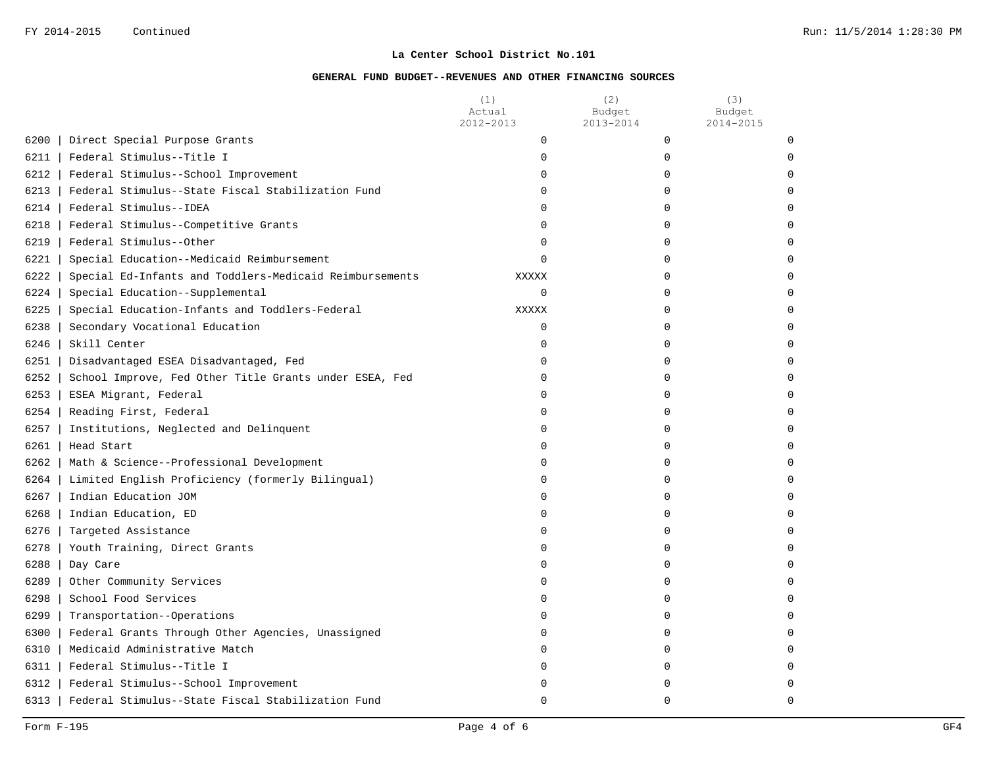|        |                                                         | (1)<br>Actual<br>2012-2013 | (2)<br>Budget<br>2013-2014 | (3)<br>Budget<br>2014-2015 |
|--------|---------------------------------------------------------|----------------------------|----------------------------|----------------------------|
| 6200   | Direct Special Purpose Grants                           | $\mathbf 0$                | 0                          | $\Omega$                   |
| 6211   | Federal Stimulus--Title I                               | $\mathbf 0$                | 0                          |                            |
| 6212   | Federal Stimulus--School Improvement                    | 0                          | $\mathbf 0$                |                            |
| 6213   | Federal Stimulus--State Fiscal Stabilization Fund       | $\Omega$                   | O                          |                            |
| 6214   | Federal Stimulus--IDEA                                  | $\Omega$                   | 0                          |                            |
| 6218   | Federal Stimulus--Competitive Grants                    | $\mathbf 0$                | $\mathbf 0$                |                            |
| 6219   | Federal Stimulus--Other                                 | 0                          | O                          |                            |
| 6221   | Special Education--Medicaid Reimbursement               | $\Omega$                   | O                          |                            |
| 6222   | Special Ed-Infants and Toddlers-Medicaid Reimbursements | XXXXX                      | $\mathbf 0$                |                            |
| 6224   | Special Education--Supplemental                         | $\mathbf 0$                | 0                          |                            |
| 6225   | Special Education-Infants and Toddlers-Federal          | <b>XXXXX</b>               | O                          |                            |
| 6238   | Secondary Vocational Education                          | $\Omega$                   | U                          |                            |
| 6246   | Skill Center                                            | $\Omega$                   | U                          |                            |
| 6251   | Disadvantaged ESEA Disadvantaged, Fed                   | $\Omega$                   | $\Omega$                   |                            |
| 6252   | School Improve, Fed Other Title Grants under ESEA, Fed  | $\Omega$                   | $\Omega$                   |                            |
| 6253   | ESEA Migrant, Federal                                   | $\mathbf 0$                | $\mathbf 0$                |                            |
| $6254$ | Reading First, Federal                                  | 0                          | 0                          |                            |
| 6257   | Institutions, Neglected and Delinquent                  | $\Omega$                   | $\Omega$                   |                            |
|        | $6261$   Head Start                                     | $\Omega$                   | 0                          |                            |
| 6262   | Math & Science--Professional Development                | 0                          | 0                          |                            |
| 6264   | Limited English Proficiency (formerly Bilingual)        | 0                          | 0                          |                            |
| 6267   | Indian Education JOM                                    | $\Omega$                   | O                          |                            |
| 6268   | Indian Education, ED                                    | 0                          | O                          |                            |
| 6276   | Targeted Assistance                                     | $\Omega$                   | 0                          |                            |
| 6278   | Youth Training, Direct Grants                           | $\Omega$                   | O                          |                            |
| 6288   | Day Care                                                | $\Omega$                   | O                          |                            |
| 6289   | Other Community Services                                | $\Omega$                   | U                          |                            |
| 6298   | School Food Services                                    | $\Omega$                   | $\Omega$                   |                            |
| 6299   | Transportation--Operations                              | $\Omega$                   | $\Omega$                   |                            |
| 6300   | Federal Grants Through Other Agencies, Unassigned       | $\mathbf 0$                | $\mathbf 0$                |                            |
| 6310   | Medicaid Administrative Match                           | 0                          | 0                          |                            |
| 6311   | Federal Stimulus--Title I                               | 0                          | $\mathbf 0$                |                            |
| 6312   | Federal Stimulus--School Improvement                    | O                          | O                          |                            |
| 6313   | Federal Stimulus--State Fiscal Stabilization Fund       | $\Omega$                   | $\Omega$                   | $\Omega$                   |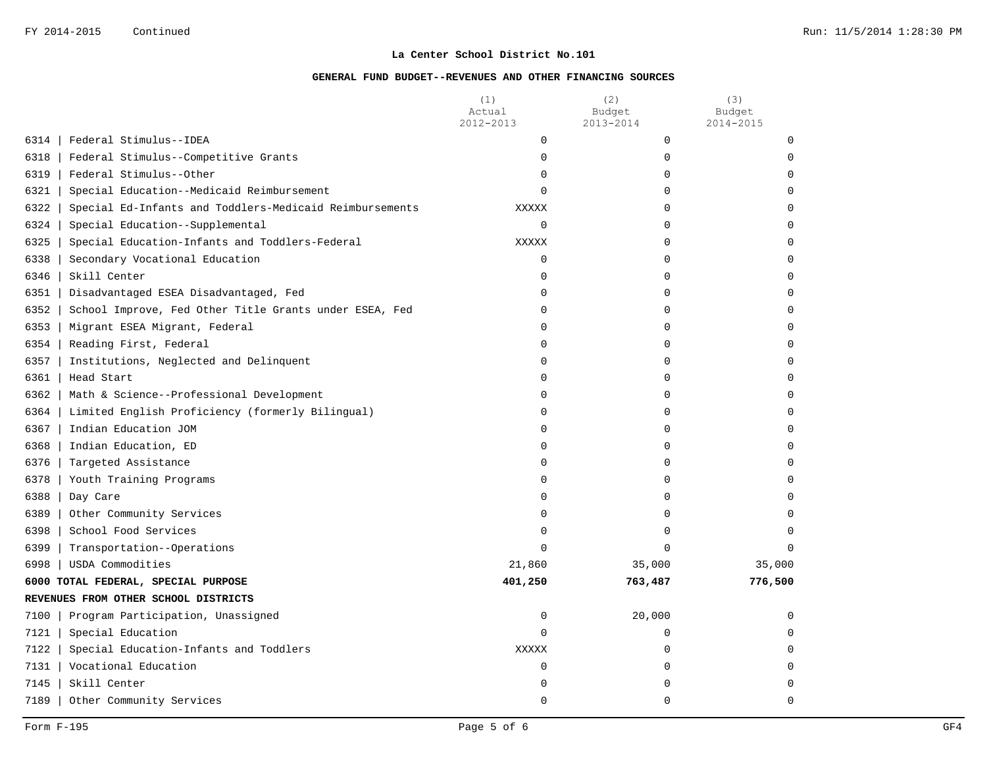|                                                                 | (1)<br>Actual<br>2012-2013 | (2)<br>Budget<br>2013-2014 | (3)<br>Budget<br>2014-2015 |
|-----------------------------------------------------------------|----------------------------|----------------------------|----------------------------|
| 6314<br>Federal Stimulus--IDEA                                  | $\mathbf 0$                | $\mathbf 0$                | $\mathbf 0$                |
| 6318<br>Federal Stimulus--Competitive Grants                    | 0                          | 0                          | <sup>0</sup>               |
| 6319<br>Federal Stimulus--Other                                 | 0                          | 0                          |                            |
| 6321<br>Special Education--Medicaid Reimbursement               | $\Omega$                   | 0                          |                            |
| 6322<br>Special Ed-Infants and Toddlers-Medicaid Reimbursements | <b>XXXXX</b>               | $\Omega$                   |                            |
| 6324<br>Special Education--Supplemental                         | $\mathbf 0$                | $\mathbf 0$                |                            |
| 6325<br>Special Education-Infants and Toddlers-Federal          | XXXXX                      | 0                          |                            |
| 6338<br>Secondary Vocational Education                          | 0                          | 0                          |                            |
| 6346<br>Skill Center                                            | 0                          | 0                          |                            |
| 6351<br>Disadvantaged ESEA Disadvantaged, Fed                   | 0                          | 0                          | ∩                          |
| 6352<br>School Improve, Fed Other Title Grants under ESEA, Fed  | $\Omega$                   | $\Omega$                   |                            |
| 6353<br>Migrant ESEA Migrant, Federal                           | $\Omega$                   | $\Omega$                   |                            |
| 6354<br>Reading First, Federal                                  | $\Omega$                   | $\Omega$                   |                            |
| 6357<br>Institutions, Neglected and Delinquent                  | 0                          | 0                          | ∩                          |
| 6361<br>Head Start                                              | 0                          | 0                          | ∩                          |
| 6362<br>Math & Science--Professional Development                | 0                          | 0                          |                            |
| Limited English Proficiency (formerly Bilingual)<br>6364        | 0                          | 0                          |                            |
| 6367<br>Indian Education JOM                                    | $\Omega$                   | $\Omega$                   |                            |
| 6368<br>Indian Education, ED                                    | 0                          | 0                          |                            |
| 6376<br>Targeted Assistance                                     | 0                          | 0                          |                            |
| 6378<br>Youth Training Programs                                 | 0                          | 0                          |                            |
| 6388<br>Day Care                                                | 0                          | $\Omega$                   |                            |
| 6389<br>Other Community Services                                | 0                          | 0                          | ∩                          |
| 6398<br>School Food Services                                    | $\Omega$                   | $\Omega$                   | ∩                          |
| 6399<br>Transportation--Operations                              | $\Omega$                   | $\Omega$                   | $\Omega$                   |
| 6998<br>USDA Commodities                                        | 21,860                     | 35,000                     | 35,000                     |
| 6000 TOTAL FEDERAL, SPECIAL PURPOSE                             | 401,250                    | 763,487                    | 776,500                    |
| REVENUES FROM OTHER SCHOOL DISTRICTS                            |                            |                            |                            |
| 7100<br>Program Participation, Unassigned                       | 0                          | 20,000                     | $\Omega$                   |
| 7121  <br>Special Education                                     | $\Omega$                   | 0                          |                            |
| 7122<br>Special Education-Infants and Toddlers                  | <b>XXXXX</b>               | $\Omega$                   |                            |
| 7131   Vocational Education                                     | 0                          | $\mathbf 0$                |                            |
| 7145<br>Skill Center                                            | 0                          | 0                          |                            |
| 7189<br>Other Community Services                                | 0                          | $\Omega$                   | $\cap$                     |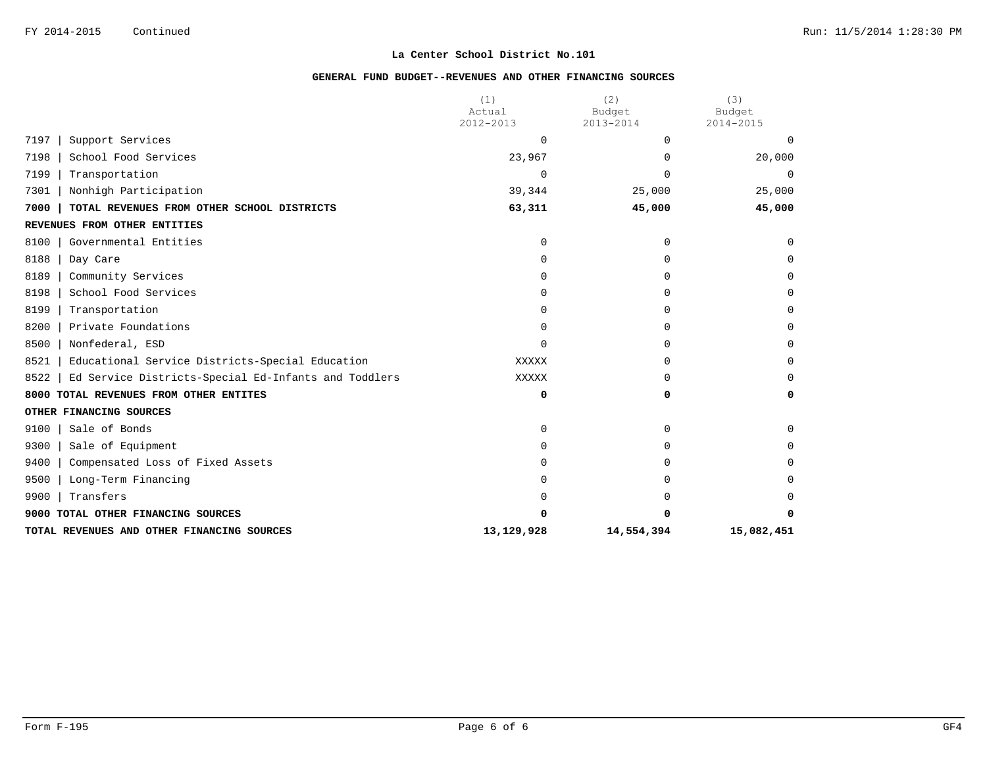|                                                              | (1)<br>Actual | (2)<br>Budget | (3)<br>Budget |
|--------------------------------------------------------------|---------------|---------------|---------------|
|                                                              | 2012-2013     | 2013-2014     | 2014-2015     |
| 7197<br>Support Services                                     | 0             | $\Omega$      | $\Omega$      |
| 7198<br>School Food Services                                 | 23,967        | 0             | 20,000        |
| 7199<br>Transportation                                       | 0             | ∩             | $\Omega$      |
| 7301<br>Nonhigh Participation                                | 39,344        | 25,000        | 25,000        |
| 7000<br>TOTAL REVENUES FROM OTHER SCHOOL DISTRICTS           | 63,311        | 45,000        | 45,000        |
| REVENUES FROM OTHER ENTITIES                                 |               |               |               |
| Governmental Entities<br>8100                                | 0             | 0             | $\Omega$      |
| 8188<br>Day Care                                             | $\Omega$      | $\Omega$      | $\Omega$      |
| 8189<br>Community Services                                   | 0             | $\Omega$      | $\Omega$      |
| 8198<br>School Food Services                                 | 0             | $\Omega$      | $\Omega$      |
| 8199<br>Transportation                                       | U             | $\Omega$      | $\Omega$      |
| 8200<br>Private Foundations                                  | U             | $\Omega$      | $\Omega$      |
| 8500<br>Nonfederal, ESD                                      | U             | $\Omega$      | $\Omega$      |
| 8521<br>Educational Service Districts-Special Education      | <b>XXXXX</b>  | $\Omega$      | $\Omega$      |
| 8522<br>Ed Service Districts-Special Ed-Infants and Toddlers | XXXXX         | U             | $\Omega$      |
| 8000 TOTAL REVENUES FROM OTHER ENTITES                       | 0             | 0             | 0             |
| OTHER FINANCING SOURCES                                      |               |               |               |
| Sale of Bonds<br>9100                                        | 0             | $\Omega$      | $\Omega$      |
| 9300<br>Sale of Equipment                                    | U             | $\Omega$      | $\Omega$      |
| 9400<br>Compensated Loss of Fixed Assets                     |               | O             | $\Omega$      |
| 9500<br>Long-Term Financing                                  |               | $\Omega$      | $\Omega$      |
| 9900<br>Transfers                                            |               |               | $\Omega$      |
| 9000 TOTAL OTHER FINANCING SOURCES                           | <sup>n</sup>  | n             | 0             |
| TOTAL REVENUES AND OTHER FINANCING SOURCES                   | 13,129,928    | 14,554,394    | 15,082,451    |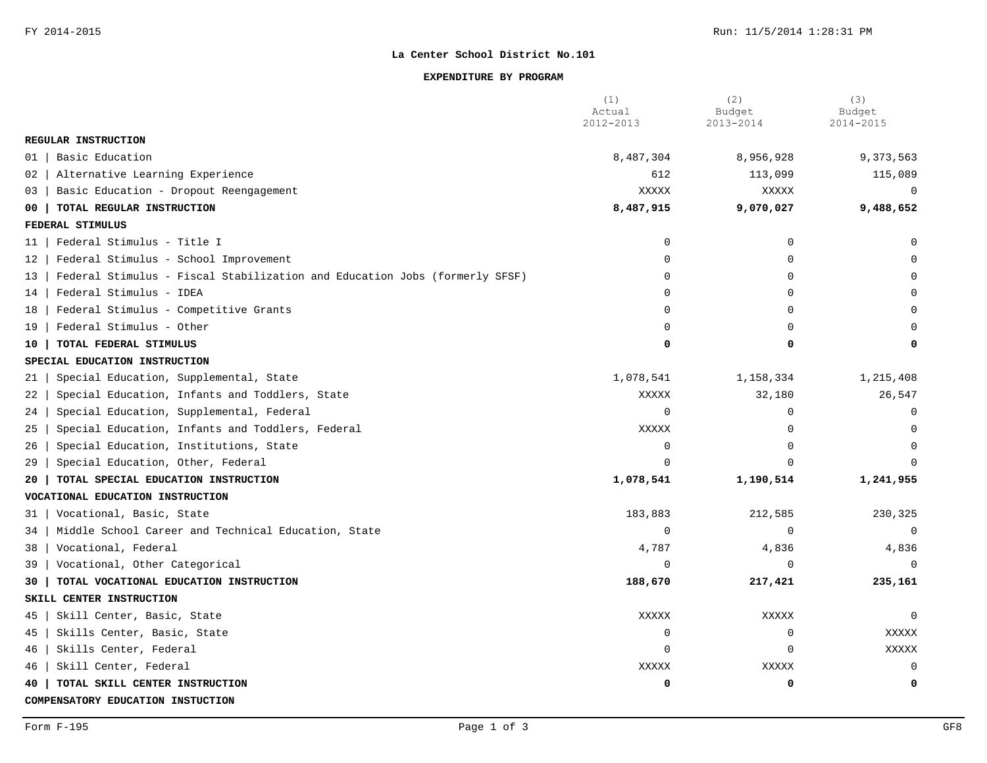### **EXPENDITURE BY PROGRAM**

|                                                                                  | (1)<br>Actual  | (2)<br>Budget | (3)<br>Budget |
|----------------------------------------------------------------------------------|----------------|---------------|---------------|
|                                                                                  | 2012-2013      | 2013-2014     | 2014-2015     |
| REGULAR INSTRUCTION                                                              |                |               |               |
| Basic Education<br>01                                                            | 8,487,304      | 8,956,928     | 9,373,563     |
| Alternative Learning Experience<br>02                                            | 612            | 113,099       | 115,089       |
| Basic Education - Dropout Reengagement<br>03                                     | XXXXX          | XXXXX         | $\Omega$      |
| TOTAL REGULAR INSTRUCTION<br>00                                                  | 8,487,915      | 9,070,027     | 9,488,652     |
| FEDERAL STIMULUS                                                                 |                |               |               |
| Federal Stimulus - Title I<br>11                                                 | $\mathbf 0$    | $\Omega$      | $\Omega$      |
| Federal Stimulus - School Improvement<br>12                                      | $\Omega$       | $\Omega$      |               |
| Federal Stimulus - Fiscal Stabilization and Education Jobs (formerly SFSF)<br>13 | $\Omega$       | $\Omega$      |               |
| Federal Stimulus - IDEA<br>14                                                    | $\Omega$       | $\Omega$      |               |
| Federal Stimulus - Competitive Grants<br>18                                      | $\Omega$       | $\Omega$      |               |
| Federal Stimulus - Other<br>19                                                   | $\Omega$       | $\Omega$      |               |
| TOTAL FEDERAL STIMULUS<br>10                                                     | $\Omega$       | O             | $\Omega$      |
| SPECIAL EDUCATION INSTRUCTION                                                    |                |               |               |
| Special Education, Supplemental, State<br>21                                     | 1,078,541      | 1,158,334     | 1,215,408     |
| 22<br>Special Education, Infants and Toddlers, State                             | XXXXX          | 32,180        | 26,547        |
| Special Education, Supplemental, Federal<br>24                                   | $\Omega$       | $\Omega$      | $\Omega$      |
| Special Education, Infants and Toddlers, Federal<br>25                           | XXXXX          | $\Omega$      | $\Omega$      |
| Special Education, Institutions, State<br>26                                     | $\Omega$       | $\Omega$      | $\Omega$      |
| Special Education, Other, Federal<br>29                                          | $\Omega$       |               |               |
| TOTAL SPECIAL EDUCATION INSTRUCTION<br>20                                        | 1,078,541      | 1,190,514     | 1,241,955     |
| VOCATIONAL EDUCATION INSTRUCTION                                                 |                |               |               |
| Vocational, Basic, State<br>31                                                   | 183,883        | 212,585       | 230,325       |
| Middle School Career and Technical Education, State<br>34                        | $\Omega$       | $\Omega$      | $\Omega$      |
| Vocational, Federal<br>38                                                        | 4,787          | 4,836         | 4,836         |
| Vocational, Other Categorical<br>39                                              | $\overline{0}$ | ∩             | $\Omega$      |
| TOTAL VOCATIONAL EDUCATION INSTRUCTION<br>30                                     | 188,670        | 217,421       | 235,161       |
| SKILL CENTER INSTRUCTION                                                         |                |               |               |
| Skill Center, Basic, State<br>45                                                 | XXXXX          | XXXXX         | $\Omega$      |
| 45<br>Skills Center, Basic, State                                                | $\overline{0}$ | $\mathbf 0$   | <b>XXXXX</b>  |
| Skills Center, Federal<br>46                                                     | $\overline{0}$ | $\Omega$      | <b>XXXXX</b>  |
| 46<br>Skill Center, Federal                                                      | XXXXX          | XXXXX         | $\Omega$      |
| TOTAL SKILL CENTER INSTRUCTION<br>40                                             | 0              | 0             | 0             |
| COMPENSATORY EDUCATION INSTUCTION                                                |                |               |               |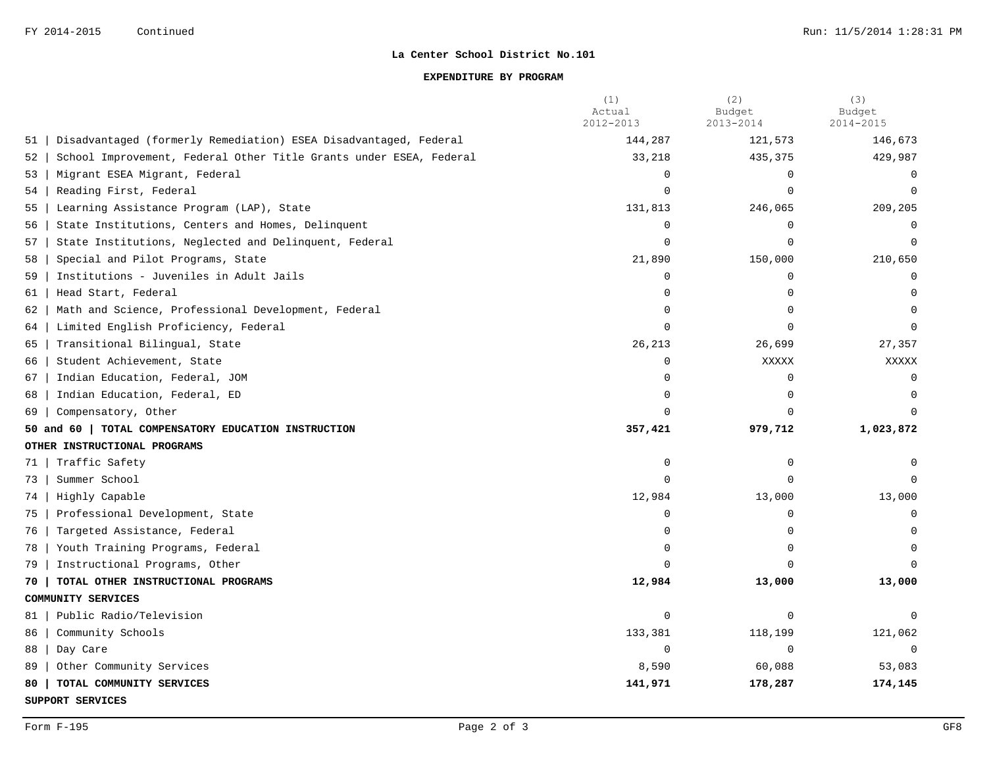## **EXPENDITURE BY PROGRAM**

|    |                                                                    | (1)<br>Actual<br>2012-2013 | (2)<br>Budget<br>2013-2014 | (3)<br>Budget<br>2014-2015 |
|----|--------------------------------------------------------------------|----------------------------|----------------------------|----------------------------|
| 51 | Disadvantaged (formerly Remediation) ESEA Disadvantaged, Federal   | 144,287                    | 121,573                    | 146,673                    |
| 52 | School Improvement, Federal Other Title Grants under ESEA, Federal | 33,218                     | 435,375                    | 429,987                    |
| 53 | Migrant ESEA Migrant, Federal                                      | $\Omega$                   | $\Omega$                   | $\Omega$                   |
| 54 | Reading First, Federal                                             | $\Omega$                   | $\Omega$                   | $\Omega$                   |
| 55 | Learning Assistance Program (LAP), State                           | 131,813                    | 246,065                    | 209,205                    |
| 56 | State Institutions, Centers and Homes, Delinquent                  | $\mathbf 0$                | $\Omega$                   | $\Omega$                   |
| 57 | State Institutions, Neglected and Delinquent, Federal              | $\Omega$                   | $\Omega$                   | $\Omega$                   |
| 58 | Special and Pilot Programs, State                                  | 21,890                     | 150,000                    | 210,650                    |
| 59 | Institutions - Juveniles in Adult Jails                            | $\mathbf 0$                | $\mathbf 0$                | $\Omega$                   |
| 61 | Head Start, Federal                                                |                            |                            |                            |
| 62 | Math and Science, Professional Development, Federal                | $\Omega$                   |                            | $\Omega$                   |
| 64 | Limited English Proficiency, Federal                               | $\cap$                     |                            |                            |
| 65 | Transitional Bilingual, State                                      | 26,213                     | 26,699                     | 27,357                     |
| 66 | Student Achievement, State                                         | $\Omega$                   | XXXXX                      | XXXXX                      |
| 67 | Indian Education, Federal, JOM                                     | $\Omega$                   | $\Omega$                   | $\cap$                     |
| 68 | Indian Education, Federal, ED                                      | $\Omega$                   |                            |                            |
| 69 | Compensatory, Other                                                |                            |                            |                            |
|    | 50 and 60   TOTAL COMPENSATORY EDUCATION INSTRUCTION               | 357,421                    | 979,712                    | 1,023,872                  |
|    | OTHER INSTRUCTIONAL PROGRAMS                                       |                            |                            |                            |
| 71 | Traffic Safety                                                     | $\Omega$                   | $\Omega$                   | $\Omega$                   |
| 73 | Summer School                                                      | $\Omega$                   | $\cap$                     | $\Omega$                   |
| 74 | Highly Capable                                                     | 12,984                     | 13,000                     | 13,000                     |
| 75 | Professional Development, State                                    | $\Omega$                   | $\Omega$                   | $\Omega$                   |
| 76 | Targeted Assistance, Federal                                       | $\Omega$                   | $\Omega$                   |                            |
| 78 | Youth Training Programs, Federal                                   | $\Omega$                   |                            |                            |
| 79 | Instructional Programs, Other                                      |                            |                            |                            |
| 70 | TOTAL OTHER INSTRUCTIONAL PROGRAMS                                 | 12,984                     | 13,000                     | 13,000                     |
|    | COMMUNITY SERVICES                                                 |                            |                            |                            |
| 81 | Public Radio/Television                                            | $\mathbf 0$                | $\Omega$                   | $\Omega$                   |
| 86 | Community Schools                                                  | 133,381                    | 118,199                    | 121,062                    |
| 88 | Day Care                                                           | $\mathbf 0$                | $\Omega$                   | $\Omega$                   |
| 89 | Other Community Services                                           | 8,590                      | 60,088                     | 53,083                     |
| 80 | TOTAL COMMUNITY SERVICES                                           | 141,971                    | 178,287                    | 174,145                    |

**SUPPORT SERVICES**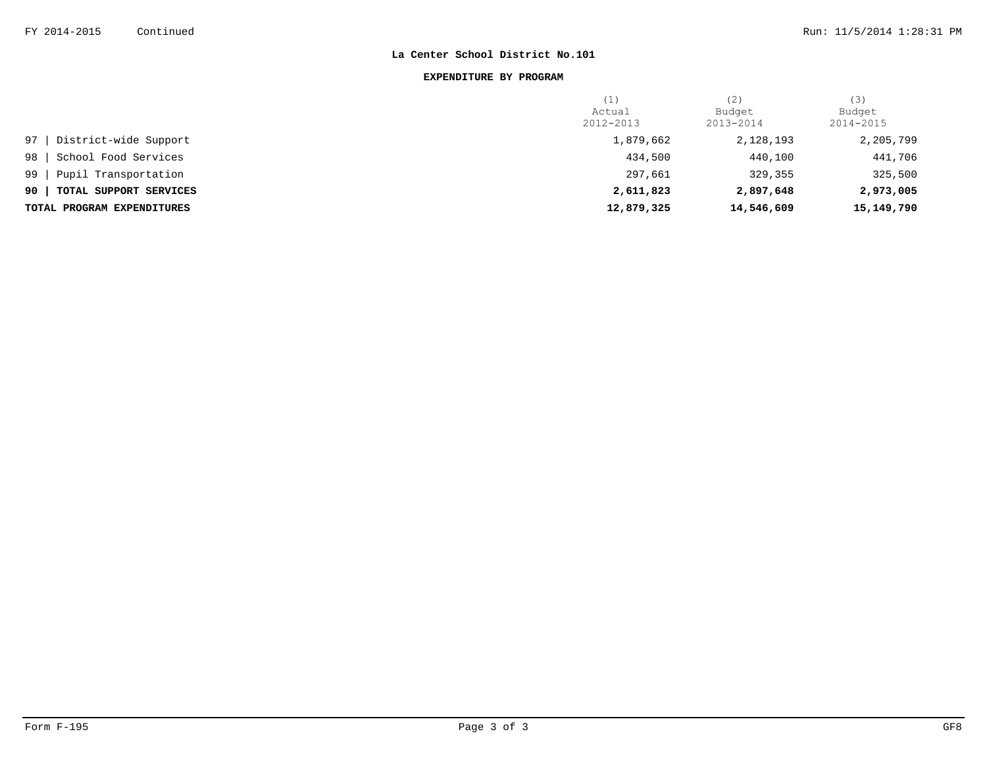### **EXPENDITURE BY PROGRAM**

|                              | (L)        | (2)        | (3)        |
|------------------------------|------------|------------|------------|
|                              | Actual     | Budget     | Budget     |
|                              | 2012-2013  | 2013-2014  | 2014-2015  |
| District-wide Support<br>97  | 1,879,662  | 2,128,193  | 2,205,799  |
| School Food Services<br>98   | 434,500    | 440,100    | 441,706    |
| Pupil Transportation<br>99   | 297,661    | 329,355    | 325,500    |
| 90<br>TOTAL SUPPORT SERVICES | 2,611,823  | 2,897,648  | 2,973,005  |
| TOTAL PROGRAM EXPENDITURES   | 12,879,325 | 14,546,609 | 15,149,790 |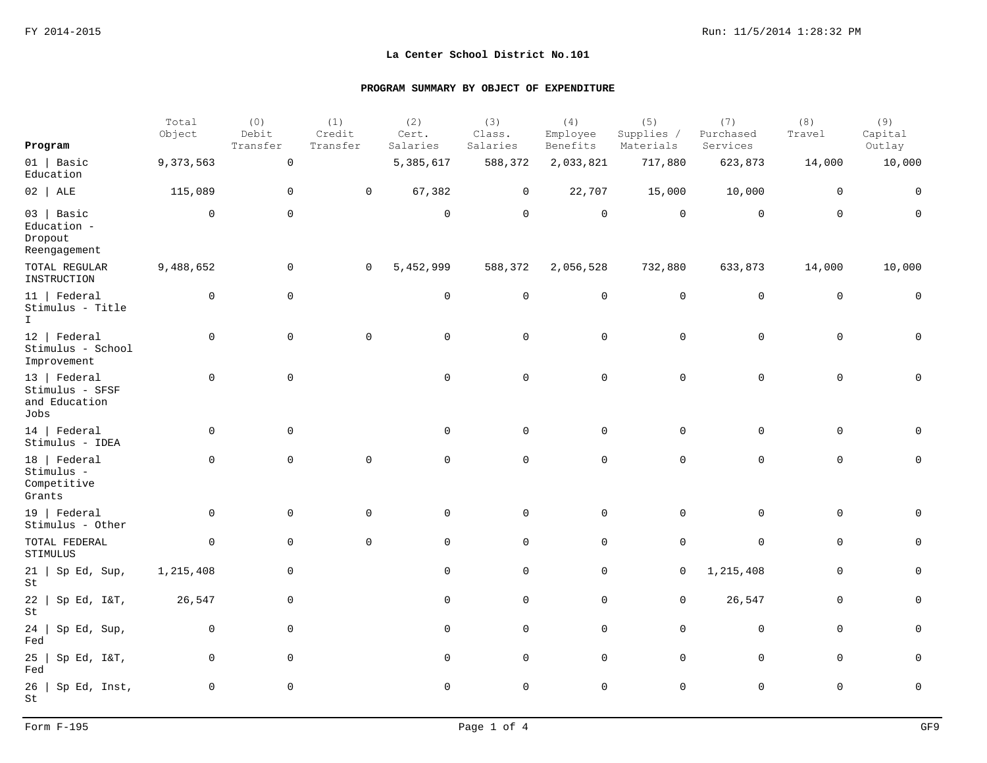| Program                                                  | Total<br>Object | (0)<br>Debit<br>Transfer | (1)<br>Credit<br>Transfer | (2)<br>Cert.<br>Salaries | (3)<br>Class.<br>Salaries | (4)<br>Employee<br>Benefits | (5)<br>Supplies /<br>Materials | (7)<br>Purchased<br>Services | (8)<br>Travel | (9)<br>Capital<br>Outlay |
|----------------------------------------------------------|-----------------|--------------------------|---------------------------|--------------------------|---------------------------|-----------------------------|--------------------------------|------------------------------|---------------|--------------------------|
| $01$   Basic<br>Education                                | 9,373,563       | $\mathsf{O}\xspace$      |                           | 5,385,617                | 588,372                   | 2,033,821                   | 717,880                        | 623,873                      | 14,000        | 10,000                   |
| $02$ ALE                                                 | 115,089         | $\mathbf 0$              | $\mathbf 0$               | 67,382                   | $\mathbf 0$               | 22,707                      | 15,000                         | 10,000                       | $\mathbf 0$   | $\mathbf 0$              |
| $03$   Basic<br>Education -<br>Dropout<br>Reengagement   | $\mathbf 0$     | $\mathbf 0$              |                           | $\mathbf 0$              | $\mathbf 0$               | $\mathbf 0$                 | $\mathbf 0$                    | $\mathbf 0$                  | $\mathbf 0$   | $\mathbf 0$              |
| TOTAL REGULAR<br>INSTRUCTION                             | 9,488,652       | 0                        | 0                         | 5,452,999                | 588,372                   | 2,056,528                   | 732,880                        | 633,873                      | 14,000        | 10,000                   |
| $11$   Federal<br>Stimulus - Title<br>$\mathbf{I}$       | 0               | $\mathbf 0$              |                           | $\mathbf 0$              | $\mathbf 0$               | $\mathbf 0$                 | $\mathbf 0$                    | $\mathsf{O}$                 | $\mathbf 0$   | 0                        |
| $12$   Federal<br>Stimulus - School<br>Improvement       | $\mathbf 0$     | $\mathsf{O}$             | $\mathbf 0$               | 0                        | $\mathbf 0$               | $\mathbf 0$                 | $\mathbf 0$                    | $\mathsf{O}\xspace$          | $\mathbf 0$   | $\mathbf 0$              |
| 13   Federal<br>Stimulus - SFSF<br>and Education<br>Jobs | $\Omega$        | $\mathbf 0$              |                           | $\mathbf 0$              | $\mathbf 0$               | $\mathbf 0$                 | $\mathbf 0$                    | $\mathbf 0$                  | $\mathbf 0$   | $\mathbf 0$              |
| $14$   Federal<br>Stimulus - IDEA                        | $\mathbf 0$     | $\mathbf 0$              |                           | $\mathbf 0$              | $\mathbf 0$               | $\mathbf 0$                 | $\mathbf 0$                    | $\mathbf 0$                  | $\mathbf 0$   | $\Omega$                 |
| 18   Federal<br>Stimulus -<br>Competitive<br>Grants      | $\mathbf 0$     | $\mathbf 0$              | $\mathbf 0$               | $\mathbf 0$              | $\mathbf 0$               | $\mathbf 0$                 | $\mathbf 0$                    | $\mathbf 0$                  | $\mathbf 0$   | $\mathbf 0$              |
| 19   Federal<br>Stimulus - Other                         | $\mathbf 0$     | $\mathbf 0$              | $\mathbf 0$               | $\mathsf{O}$             | $\mathbf 0$               | $\mathbf 0$                 | $\mathbf 0$                    | $\mathbf 0$                  | $\mathbf 0$   | $\mathbf 0$              |
| TOTAL FEDERAL<br>STIMULUS                                | $\mathbf 0$     | $\mathsf{O}$             | $\mathbf 0$               | $\mathsf{O}$             | $\mathbf 0$               | $\mathbf 0$                 | $\mathbf 0$                    | $\mathbf 0$                  | $\mathbf 0$   | $\mathbf 0$              |
| $21$   Sp Ed, Sup,<br>$\operatorname{\mathsf{St}}$       | 1,215,408       | 0                        |                           | 0                        | $\mathbf 0$               | $\mathsf{O}\xspace$         | 0                              | 1,215,408                    | $\mathbf 0$   | $\mathbf 0$              |
| 22<br>Sp Ed, I&T,<br>St                                  | 26,547          | 0                        |                           | 0                        | $\mathbf 0$               | $\mathbf 0$                 | $\mathbf 0$                    | 26,547                       | $\mathbf 0$   | $\mathbf 0$              |
| 24<br>Sp Ed, Sup,<br>Fed                                 | 0               | 0                        |                           | 0                        | $\mathbf 0$               | $\mathbf 0$                 | $\mathbf 0$                    | $\mathbf 0$                  | $\mathbf 0$   | $\mathbf 0$              |
| 25<br>Sp Ed, I&T,<br>Fed                                 | $\mathbf 0$     | 0                        |                           | 0                        | $\mathbf 0$               | $\mathbf 0$                 | $\mathbf 0$                    | $\mathsf{O}\xspace$          | $\mathbf 0$   | $\mathbf 0$              |
| $26$   Sp Ed, Inst,<br>St                                | $\mathbf 0$     | $\mathsf{O}$             |                           | $\mathsf{O}$             | $\mathsf 0$               | $\mathsf{O}$                | $\mathbf 0$                    | $\mathsf{O}\xspace$          | $\mathbf 0$   | $\mathbf 0$              |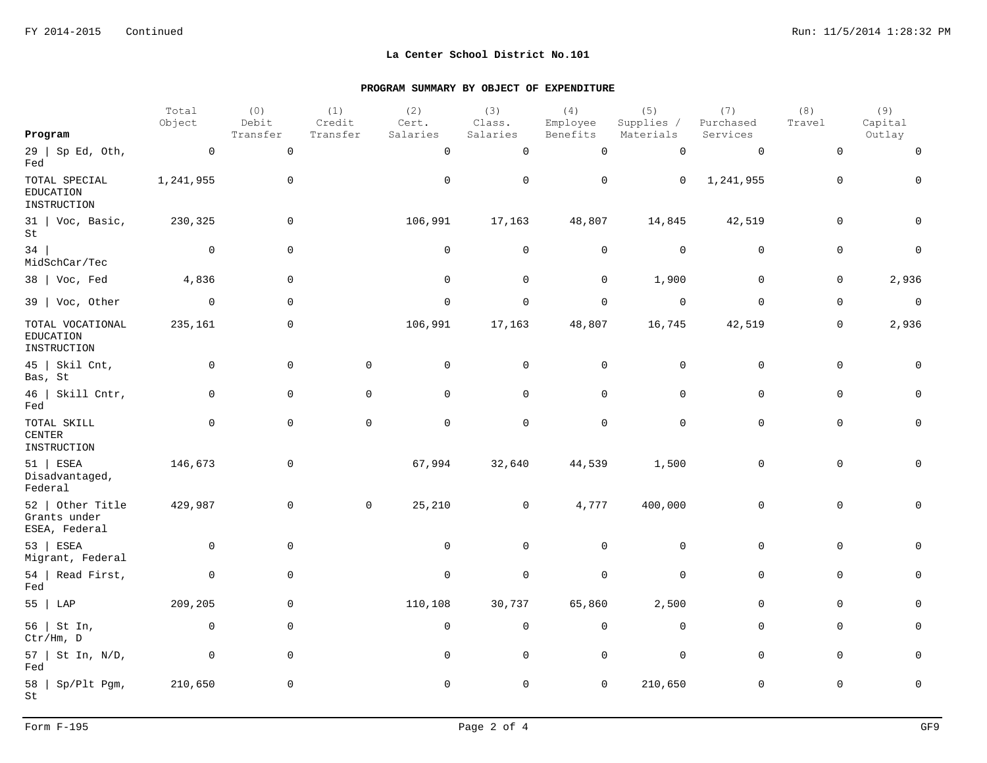| Program                                             | Total<br>Object | (0)<br>Debit<br>Transfer | (1)<br>Credit<br>Transfer | (2)<br>Cert.<br>Salaries | (3)<br>Class.<br>Salaries | (4)<br>Employee<br>Benefits | (5)<br>Supplies /<br>Materials | (7)<br>Purchased<br>Services | (8)<br>Travel | (9)<br>Capital<br>Outlay |
|-----------------------------------------------------|-----------------|--------------------------|---------------------------|--------------------------|---------------------------|-----------------------------|--------------------------------|------------------------------|---------------|--------------------------|
| $29$   Sp Ed, Oth,                                  | $\overline{0}$  | $\mathsf 0$              |                           | $\mathbf 0$              | $\mathbf 0$               | $\mathsf{O}\xspace$         | $\mathsf 0$                    | $\mathsf{O}$                 | $\mathbf 0$   | $\mathsf 0$              |
| Fed                                                 |                 |                          |                           |                          |                           |                             |                                |                              |               |                          |
| TOTAL SPECIAL<br>EDUCATION<br>INSTRUCTION           | 1,241,955       | $\mathbf 0$              |                           | $\mathbf 0$              | $\mathbf 0$               | 0                           | $\mathsf{O}$                   | 1,241,955                    | $\mathbf 0$   | $\mathsf{O}$             |
| $31$   Voc, Basic,<br>St                            | 230,325         | $\mathbf 0$              |                           | 106,991                  | 17,163                    | 48,807                      | 14,845                         | 42,519                       | $\mathbf 0$   | $\Omega$                 |
| 34<br>MidSchCar/Tec                                 | $\overline{0}$  | $\mathbf 0$              |                           | $\mathbf 0$              | $\mathbf 0$               | $\mathsf{O}$                | $\mathbf 0$                    | $\mathbf 0$                  | $\mathbf 0$   | $\mathsf 0$              |
| $38$   Voc, Fed                                     | 4,836           | $\mathbf 0$              |                           | $\mathsf 0$              | $\mathsf{O}$              | $\mathbf 0$                 | 1,900                          | $\mathsf 0$                  | $\mathbf 0$   | 2,936                    |
| $39$   Voc, Other                                   | $\overline{0}$  | $\mathbf 0$              |                           | $\mathbf 0$              | $\mathbf 0$               | $\mathsf{O}$                | $\overline{0}$                 | $\mathbf 0$                  | $\mathsf 0$   | $\mathsf{O}$             |
| TOTAL VOCATIONAL<br><b>EDUCATION</b><br>INSTRUCTION | 235,161         | $\mathbf 0$              |                           | 106,991                  | 17,163                    | 48,807                      | 16,745                         | 42,519                       | $\mathbf 0$   | 2,936                    |
| $45$   Skil Cnt,<br>Bas, St                         | $\mathbf 0$     | $\mathbf 0$              | $\mathbf 0$               | $\mathsf{O}$             | $\mathbf 0$               | $\mathsf{O}$                | $\mathbf 0$                    | $\mathbf 0$                  | $\mathbf 0$   | $\mathbf 0$              |
| 46   Skill Cntr,<br>Fed                             | $\mathbf 0$     | $\mathbf 0$              | $\mathbf 0$               | $\mathbf 0$              | $\mathbf 0$               | $\mathsf{O}$                | $\mathbf 0$                    | $\mathbf 0$                  | $\mathbf 0$   | $\mathbf 0$              |
| TOTAL SKILL<br><b>CENTER</b><br>INSTRUCTION         | $\mathbf 0$     | $\mathbf 0$              | $\mathbf 0$               | $\mathbf 0$              | $\mathsf 0$               | $\mathsf{O}$                | $\mathsf 0$                    | $\mathbf 0$                  | $\mathbf 0$   | $\mathbf 0$              |
| 51   ESEA<br>Disadvantaged,<br>Federal              | 146,673         | $\mathbf 0$              |                           | 67,994                   | 32,640                    | 44,539                      | 1,500                          | $\mathbf 0$                  | $\mathbf 0$   | $\mathbf 0$              |
| 52   Other Title<br>Grants under<br>ESEA, Federal   | 429,987         | $\mathbf 0$              | $\mathsf{O}$              | 25,210                   | $\overline{0}$            | 4,777                       | 400,000                        | 0                            | $\mathbf 0$   | 0                        |
| 53   ESEA<br>Migrant, Federal                       | $\overline{0}$  | $\mathbf 0$              |                           | $\mathbf 0$              | $\mathbf 0$               | 0                           | $\mathbf 0$                    | $\mathbf 0$                  | $\mathbf 0$   | $\Omega$                 |
| 54   Read First,<br>Fed                             | $\mathbf 0$     | $\mathbf 0$              |                           | $\mathbf 0$              | $\mathbf 0$               | $\mathsf{O}$                | $\mathbf 0$                    | $\mathbf 0$                  | $\mathbf 0$   | $\mathbf 0$              |
| 55   LAP                                            | 209,205         | $\mathbf 0$              |                           | 110,108                  | 30,737                    | 65,860                      | 2,500                          | $\mathbf 0$                  | $\mathbf 0$   | $\mathbf 0$              |
| 56   St In,<br>Ctr/Hm, D                            | $\mathbf 0$     | $\mathsf{O}\xspace$      |                           | $\mathsf 0$              | $\mathsf 0$               | $\mathsf{O}$                | $\mathsf{O}$                   | $\mathsf{O}\xspace$          | $\mathsf{O}$  | $\mathbf 0$              |
| $57$   St In, N/D,<br>Fed                           | $\mathbf 0$     | $\mathsf{O}\xspace$      |                           | $\mathsf{O}\xspace$      | $\mathbf 0$               | $\mathsf{O}$                | $\mathsf 0$                    | $\mathsf{O}\xspace$          | $\mathbf 0$   | $\Omega$                 |
| $58$   Sp/Plt Pgm,<br>St                            | 210,650         | $\mathsf 0$              |                           | $\mathsf{O}\xspace$      | 0                         | $\mathsf{O}\xspace$         | 210,650                        | $\mathsf 0$                  | $\mathbb O$   | $\mathsf 0$              |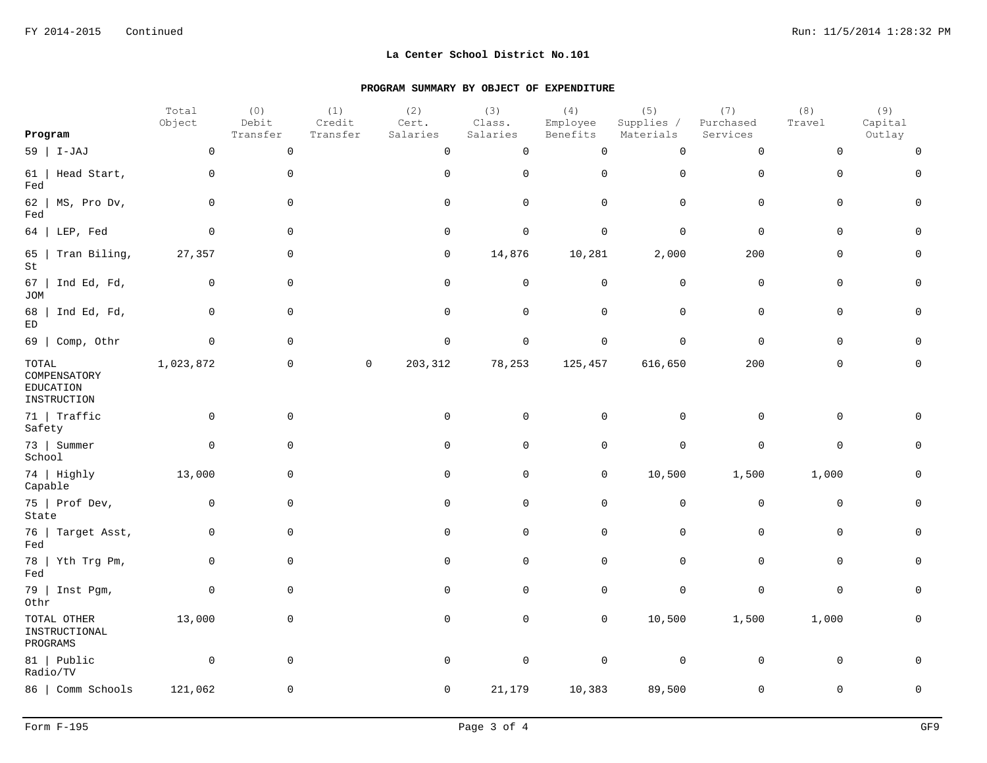|                                                            | Total<br>Object | (0)<br>Debit        | (1)<br>Credit | (2)<br>Cert. | (3)<br>Class. | (4)<br>Employee     | (5)<br>Supplies / | (7)<br>Purchased    | (8)<br>Travel | (9)<br>Capital |
|------------------------------------------------------------|-----------------|---------------------|---------------|--------------|---------------|---------------------|-------------------|---------------------|---------------|----------------|
| Program                                                    |                 | Transfer            | Transfer      | Salaries     | Salaries      | Benefits            | Materials         | Services            |               | Outlay         |
| $59$   I-JAJ                                               | $\mathbf 0$     | $\mathsf{O}$        |               | $\mathsf{O}$ | $\mathbf 0$   | $\mathsf{O}\xspace$ | $\mathsf 0$       | $\mathsf{O}$        | $\mathbf 0$   | $\Omega$       |
| Head Start,<br>61<br>Fed                                   | $\mathbf 0$     | $\mathbf 0$         |               | $\mathbf 0$  | $\mathsf 0$   | $\mathsf{O}\xspace$ | $\mathbf 0$       | $\mathbf 0$         | $\mathbf 0$   | $\Omega$       |
| 62<br>MS, Pro Dv,<br>Fed                                   | $\mathbf 0$     | $\mathbf 0$         |               | $\mathbf 0$  | $\mathbf 0$   | $\mathsf{O}$        | $\mathbf 0$       | $\mathbf 0$         | $\mathbf 0$   | $\mathbf 0$    |
| LEP, Fed<br>64                                             | $\mathbf 0$     | $\mathbf 0$         |               | $\mathbf 0$  | $\mathbf 0$   | $\mathsf{O}$        | $\mathbf 0$       | $\mathbf 0$         | $\mathbf 0$   | $\Omega$       |
| Tran Biling,<br>65<br>St                                   | 27,357          | $\mathsf 0$         |               | $\mathsf{O}$ | 14,876        | 10,281              | 2,000             | 200                 | $\mathbf 0$   | $\mathbf 0$    |
| 67<br>Ind Ed, Fd,<br><b>JOM</b>                            | $\mathbf 0$     | $\mathbf 0$         |               | $\mathbf 0$  | $\mathbf 0$   | $\mathsf{O}$        | $\mathbf 0$       | 0                   | $\mathbf 0$   | 0              |
| Ind Ed, Fd,<br>68<br>$\mathop{\rm ED}\nolimits$            | 0               | $\mathbf 0$         |               | $\mathbf 0$  | $\mathbf 0$   | $\mathsf{O}$        | $\mathsf 0$       | 0                   | $\mathbf 0$   | $\mathbf 0$    |
| 69   Comp, Othr                                            | $\mathbf 0$     | $\mathsf{O}\xspace$ |               | $\mathsf 0$  | $\mathsf 0$   | $\mathsf 0$         | $\mathbf 0$       | $\mathbf 0$         | $\mathbf 0$   | $\Omega$       |
| $_{\tt TOTAL}$<br>COMPENSATORY<br>EDUCATION<br>INSTRUCTION | 1,023,872       | $\mathsf{O}\xspace$ | $\mathsf{O}$  | 203,312      | 78,253        | 125,457             | 616,650           | 200                 | $\mathsf{O}$  | $\mathbf 0$    |
| 71   Traffic<br>Safety                                     | $\mathbf 0$     | 0                   |               | $\mathsf 0$  | $\mathsf 0$   | $\mathsf{O}$        | $\mathbf 0$       | $\mathsf{O}\xspace$ | $\mathbf 0$   | $\Omega$       |
| 73   Summer<br>School                                      | $\mathbf 0$     | $\mathbf 0$         |               | $\mathbf 0$  | 0             | $\mathsf{O}$        | $\mathsf 0$       | $\mathsf{O}\xspace$ | $\mathbf 0$   | $\mathbf 0$    |
| 74   Highly<br>Capable                                     | 13,000          | $\mathbf 0$         |               | $\mathbf 0$  | $\mathbf 0$   | $\mathbf 0$         | 10,500            | 1,500               | 1,000         | $\mathbf 0$    |
| 75   Prof Dev,<br>State                                    | $\mathbf 0$     | $\mathbf 0$         |               | $\mathbf 0$  | $\mathbf 0$   | $\mathsf{O}$        | $\overline{0}$    | $\mathsf{O}\xspace$ | $\mathbf 0$   | 0              |
| 76   Target Asst,<br>Fed                                   | $\mathbf 0$     | $\mathbf 0$         |               | $\mathbf 0$  | $\mathbf 0$   | $\mathsf{O}$        | $\mathsf 0$       | $\mathsf{O}\xspace$ | $\mathbf 0$   | 0              |
| $78$   Yth Trg Pm,<br>Fed                                  | 0               | $\mathbf 0$         |               | $\mathbf 0$  | $\mathbf 0$   | $\mathsf{O}$        | $\mathbf 0$       | $\mathbf 0$         | $\mathbf 0$   | 0              |
| 79   Inst Pgm,<br>Othr                                     | $\mathbf 0$     | $\mathsf{O}\xspace$ |               | $\mathbf 0$  | $\mathbf 0$   | $\mathsf{O}$        | $\mathsf 0$       | $\mathsf{O}\xspace$ | $\mathsf{O}$  | $\Omega$       |
| TOTAL OTHER<br>INSTRUCTIONAL<br>PROGRAMS                   | 13,000          | $\mathbf 0$         |               | $\mathbf 0$  | $\mathbf 0$   | $\mathsf{O}$        | 10,500            | 1,500               | 1,000         | $\mathbf 0$    |
| 81   Public<br>Radio/TV                                    | $\mathbf 0$     | $\mathbf 0$         |               | $\mathbf 0$  | $\mathbf 0$   | $\mathsf 0$         | $\mathbf 0$       | $\mathsf 0$         | $\mathbf 0$   | $\Omega$       |
| 86   Comm Schools                                          | 121,062         | $\mathsf 0$         |               | $\mathbf 0$  | 21,179        | 10,383              | 89,500            | 0                   | $\mathbf 0$   | $\mathsf 0$    |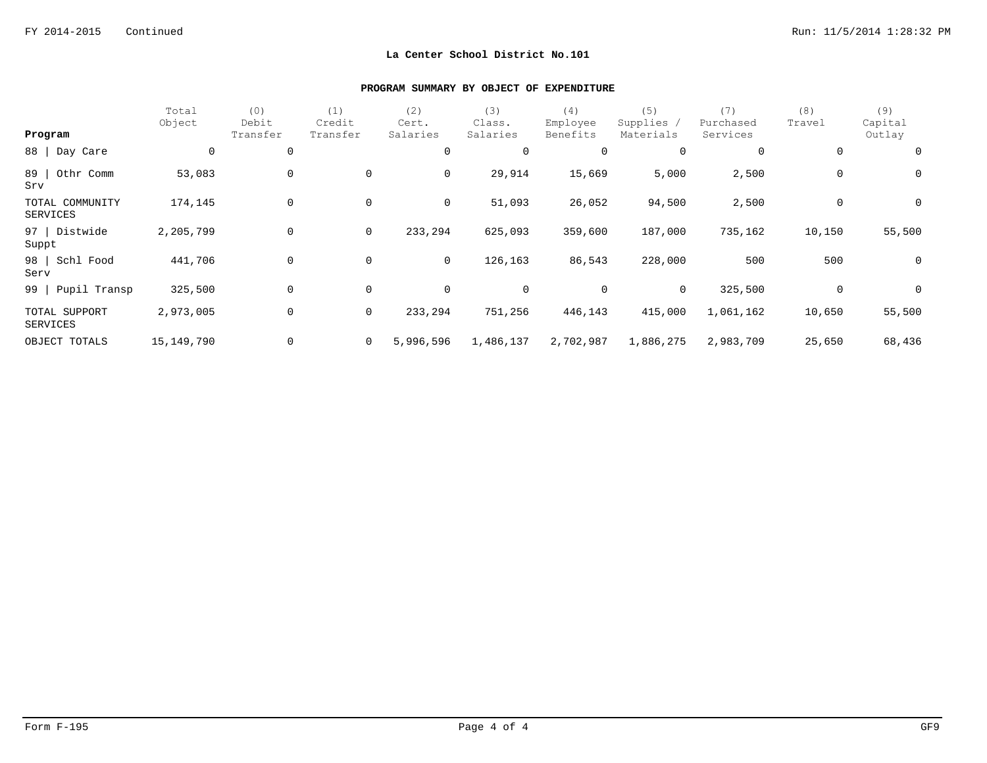|                             | Total<br>Object | (0)<br>Debit | (1)<br>Credit  | (2)<br>Cert. | (3)<br>Class.  | (4)<br>Employee | (5)<br>Supplies / | (7)<br>Purchased | (8)<br>Travel  | (9)<br>Capital |
|-----------------------------|-----------------|--------------|----------------|--------------|----------------|-----------------|-------------------|------------------|----------------|----------------|
| Program                     |                 | Transfer     | Transfer       | Salaries     | Salaries       | Benefits        | Materials         | Services         |                | Outlay         |
| 88   Day Care               | $\mathbf 0$     | $\mathbf 0$  |                | 0            | $\overline{0}$ | 0               | 0                 | 0                | 0              | $\mathbf 0$    |
| 89<br>Othr Comm<br>Srv      | 53,083          | $\mathbf 0$  | 0              | 0            | 29,914         | 15,669          | 5,000             | 2,500            | 0              | $\overline{0}$ |
| TOTAL COMMUNITY<br>SERVICES | 174,145         | 0            | 0              | 0            | 51,093         | 26,052          | 94,500            | 2,500            | $\overline{0}$ | $\overline{0}$ |
| 97   Distwide<br>Suppt      | 2,205,799       | $\mathbf 0$  | $\overline{0}$ | 233,294      | 625,093        | 359,600         | 187,000           | 735,162          | 10,150         | 55,500         |
| Schl Food<br>98  <br>Serv   | 441,706         | $\mathbf 0$  | $\mathsf{O}$   | 0            | 126,163        | 86,543          | 228,000           | 500              | 500            | $\overline{0}$ |
| 99 Pupil Transp             | 325,500         | 0            | 0              | 0            | 0              | 0               | $\overline{0}$    | 325,500          | 0              | $\overline{0}$ |
| TOTAL SUPPORT<br>SERVICES   | 2,973,005       | $\mathbf 0$  | $\overline{0}$ | 233,294      | 751,256        | 446,143         | 415,000           | 1,061,162        | 10,650         | 55,500         |
| OBJECT TOTALS               | 15,149,790      | 0            | $\overline{0}$ | 5,996,596    | 1,486,137      | 2,702,987       | 1,886,275         | 2,983,709        | 25,650         | 68,436         |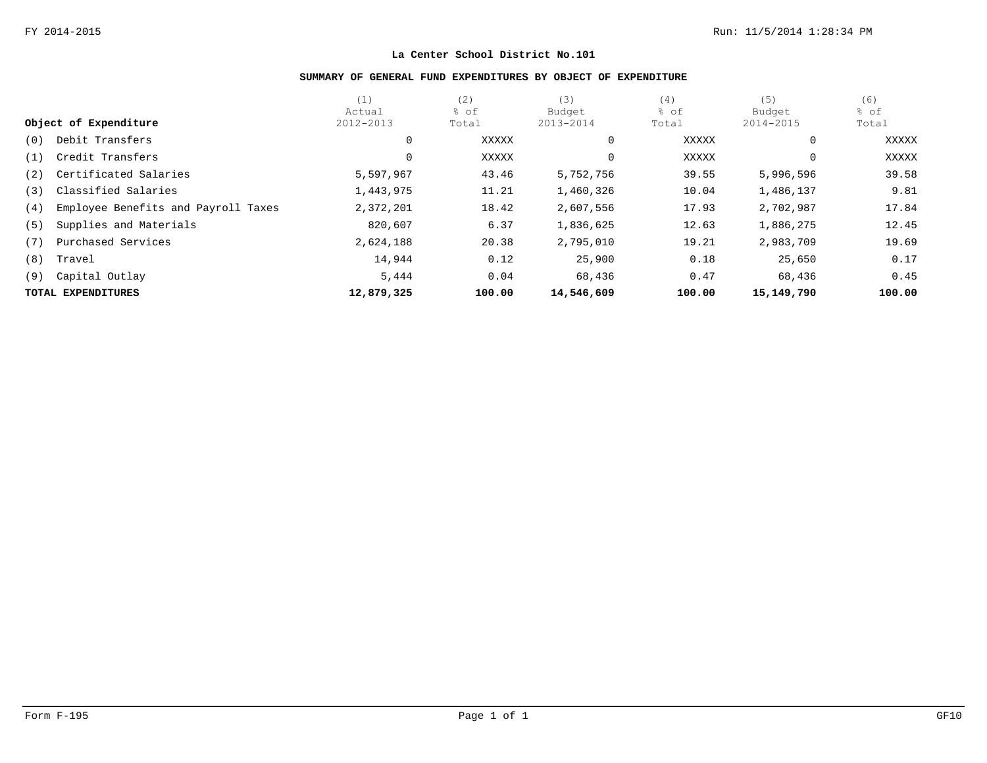# **SUMMARY OF GENERAL FUND EXPENDITURES BY OBJECT OF EXPENDITURE**

|     |                                     | (1)        | (2)    | (3)        | (4)    | (5)          | (6)    |
|-----|-------------------------------------|------------|--------|------------|--------|--------------|--------|
|     |                                     | Actual     | % of   | Budget     | % of   | Budget       | % of   |
|     | Object of Expenditure               | 2012-2013  | Total  | 2013-2014  | Total  | 2014-2015    | Total  |
| (0) | Debit Transfers                     | 0          | XXXXX  | 0          | XXXXX  | $\mathbf{0}$ | XXXXX  |
| (1) | Credit Transfers                    | 0          | XXXXX  |            | XXXXX  | $\mathbf{0}$ | XXXXX  |
| (2) | Certificated Salaries               | 5,597,967  | 43.46  | 5,752,756  | 39.55  | 5,996,596    | 39.58  |
| (3) | Classified Salaries                 | 1,443,975  | 11.21  | 1,460,326  | 10.04  | 1,486,137    | 9.81   |
| (4) | Employee Benefits and Payroll Taxes | 2,372,201  | 18.42  | 2,607,556  | 17.93  | 2,702,987    | 17.84  |
| (5) | Supplies and Materials              | 820,607    | 6.37   | 1,836,625  | 12.63  | 1,886,275    | 12.45  |
| (7) | Purchased Services                  | 2,624,188  | 20.38  | 2,795,010  | 19.21  | 2,983,709    | 19.69  |
| (8) | Travel                              | 14,944     | 0.12   | 25,900     | 0.18   | 25,650       | 0.17   |
| (9) | Capital Outlay                      | 5,444      | 0.04   | 68,436     | 0.47   | 68,436       | 0.45   |
|     | TOTAL EXPENDITURES                  | 12,879,325 | 100.00 | 14,546,609 | 100.00 | 15,149,790   | 100.00 |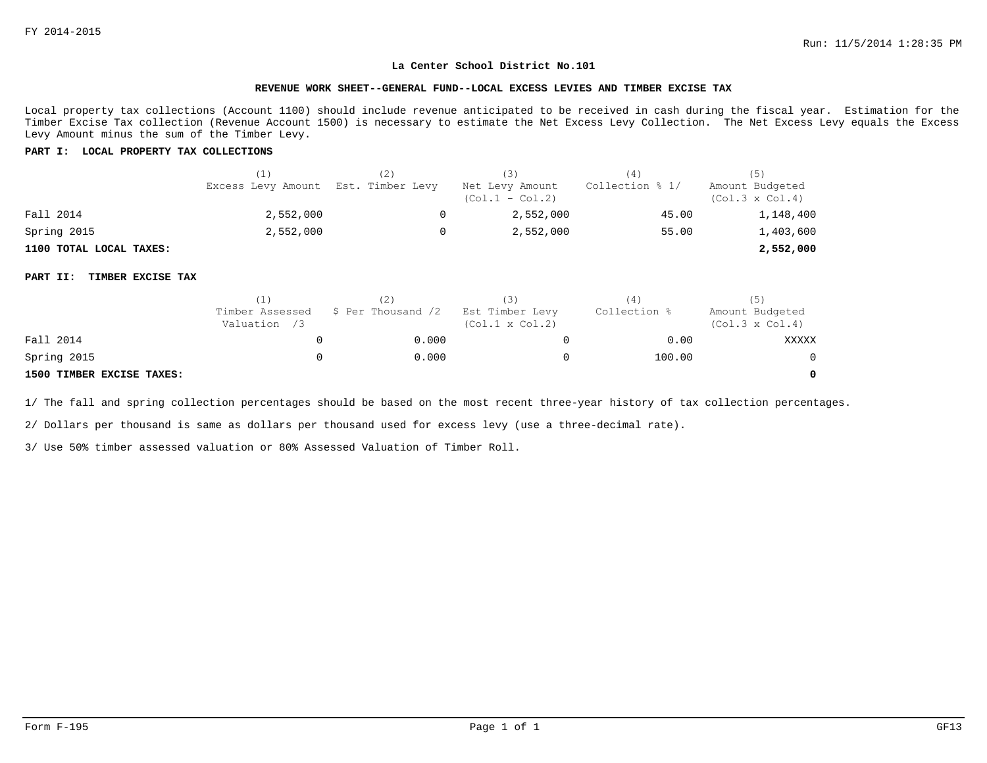#### **REVENUE WORK SHEET--GENERAL FUND--LOCAL EXCESS LEVIES AND TIMBER EXCISE TAX**

Local property tax collections (Account 1100) should include revenue anticipated to be received in cash during the fiscal year. Estimation for the Timber Excise Tax collection (Revenue Account 1500) is necessary to estimate the Net Excess Levy Collection. The Net Excess Levy equals the Excess Levy Amount minus the sum of the Timber Levy.

#### **PART I: LOCAL PROPERTY TAX COLLECTIONS**

|                         | (1)<br>Excess Levy Amount Est. Timber Levy | (2) | (3)<br>Net Levy Amount<br>$(Col.1 - Col.2)$ | (4)<br>Collection % 1/ | Amount Budgeted<br>$(Col.3 \times Col.4)$ |
|-------------------------|--------------------------------------------|-----|---------------------------------------------|------------------------|-------------------------------------------|
| Fall 2014               | 2,552,000                                  |     | 2,552,000                                   | 45.00                  | 1,148,400                                 |
| Spring 2015             | 2,552,000                                  | 0   | 2,552,000                                   | 55.00                  | 1,403,600                                 |
| 1100 TOTAL LOCAL TAXES: |                                            |     |                                             |                        | 2,552,000                                 |

#### **PART II: TIMBER EXCISE TAX**

|                           | 11                              |                    | (3)                                       | (4)          | (5)                                       |
|---------------------------|---------------------------------|--------------------|-------------------------------------------|--------------|-------------------------------------------|
|                           | Timber Assessed<br>Valuation /3 | \$ Per Thousand /2 | Est Timber Levy<br>$(Col.1 \times Col.2)$ | Collection % | Amount Budgeted<br>$(Col.3 \times Col.4)$ |
| Fall 2014                 |                                 | 0.000              |                                           | 0.00         | XXXXX                                     |
| Spring 2015               |                                 | 0.000              |                                           | 100.00       | $\mathbf{0}$                              |
| 1500 TIMBER EXCISE TAXES: |                                 |                    |                                           |              | 0                                         |

1/ The fall and spring collection percentages should be based on the most recent three-year history of tax collection percentages.

2/ Dollars per thousand is same as dollars per thousand used for excess levy (use a three-decimal rate).

3/ Use 50% timber assessed valuation or 80% Assessed Valuation of Timber Roll.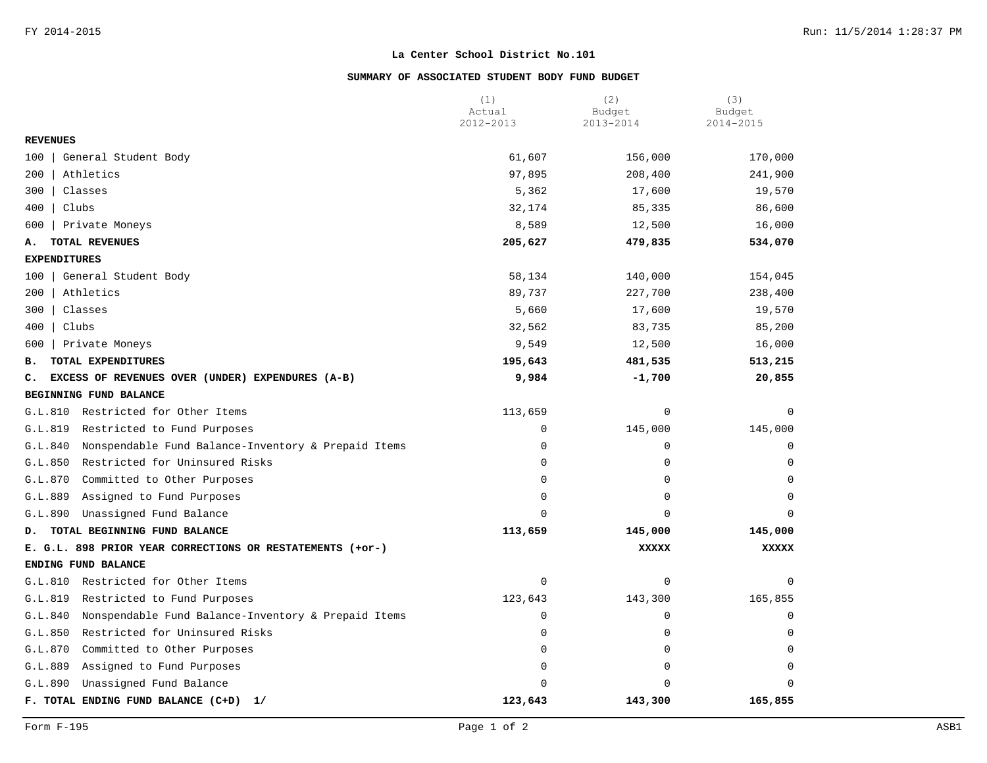## **SUMMARY OF ASSOCIATED STUDENT BODY FUND BUDGET**

|                                                                | (1)<br>Actual | (2)<br>Budget | (3)<br>Budget |
|----------------------------------------------------------------|---------------|---------------|---------------|
|                                                                | 2012-2013     | 2013-2014     | 2014-2015     |
| <b>REVENUES</b>                                                |               |               |               |
| General Student Body<br>100                                    | 61,607        | 156,000       | 170,000       |
| 200<br>Athletics                                               | 97,895        | 208,400       | 241,900       |
| 300<br>Classes                                                 | 5,362         | 17,600        | 19,570        |
| 400<br>Clubs                                                   | 32,174        | 85,335        | 86,600        |
| 600<br>Private Moneys                                          | 8,589         | 12,500        | 16,000        |
| TOTAL REVENUES<br>А.                                           | 205,627       | 479,835       | 534,070       |
| <b>EXPENDITURES</b>                                            |               |               |               |
| General Student Body<br>100                                    | 58,134        | 140,000       | 154,045       |
| 200<br>Athletics                                               | 89,737        | 227,700       | 238,400       |
| Classes<br>300                                                 | 5,660         | 17,600        | 19,570        |
| Clubs<br>400                                                   | 32,562        | 83,735        | 85,200        |
| 600<br>Private Moneys                                          | 9,549         | 12,500        | 16,000        |
| TOTAL EXPENDITURES<br>в.                                       | 195,643       | 481,535       | 513,215       |
| EXCESS OF REVENUES OVER (UNDER) EXPENDURES (A-B)<br>c.         | 9,984         | $-1,700$      | 20,855        |
| BEGINNING FUND BALANCE                                         |               |               |               |
| Restricted for Other Items<br>G.L.810                          | 113,659       | $\mathbf 0$   | $\mathbf 0$   |
| Restricted to Fund Purposes<br>G.L.819                         | 0             | 145,000       | 145,000       |
| G.L.840<br>Nonspendable Fund Balance-Inventory & Prepaid Items | $\mathbf 0$   | $\mathbf 0$   | 0             |
| Restricted for Uninsured Risks<br>G.L.850                      | $\mathbf 0$   | $\mathbf 0$   | $\Omega$      |
| G.L.870<br>Committed to Other Purposes                         | $\Omega$      | $\mathbf 0$   | $\Omega$      |
| G.L.889<br>Assigned to Fund Purposes                           | $\mathbf 0$   | $\mathbf 0$   | $\Omega$      |
| G.L.890<br>Unassigned Fund Balance                             | $\Omega$      | $\mathbf 0$   | $\Omega$      |
| TOTAL BEGINNING FUND BALANCE<br>D.                             | 113,659       | 145,000       | 145,000       |
| E. G.L. 898 PRIOR YEAR CORRECTIONS OR RESTATEMENTS (+or-)      |               | <b>XXXXX</b>  | XXXXX         |
| ENDING FUND BALANCE                                            |               |               |               |
| Restricted for Other Items<br>G.L.810                          | $\mathbf 0$   | $\mathbf 0$   | $\mathbf 0$   |
| G.L.819<br>Restricted to Fund Purposes                         | 123,643       | 143,300       | 165,855       |
| G.L.840<br>Nonspendable Fund Balance-Inventory & Prepaid Items | $\mathbf 0$   | 0             | $\mathbf 0$   |
| G.L.850<br>Restricted for Uninsured Risks                      | $\mathbf 0$   | $\mathbf 0$   | $\mathbf 0$   |
| G.L.870<br>Committed to Other Purposes                         | $\mathbf 0$   | 0             | $\Omega$      |
| G.L.889<br>Assigned to Fund Purposes                           | $\mathbf 0$   | $\mathbf 0$   | $\mathbf 0$   |
| Unassigned Fund Balance<br>G.L.890                             | $\Omega$      | $\Omega$      | $\Omega$      |
| F. TOTAL ENDING FUND BALANCE (C+D)<br>1/                       | 123,643       | 143,300       | 165,855       |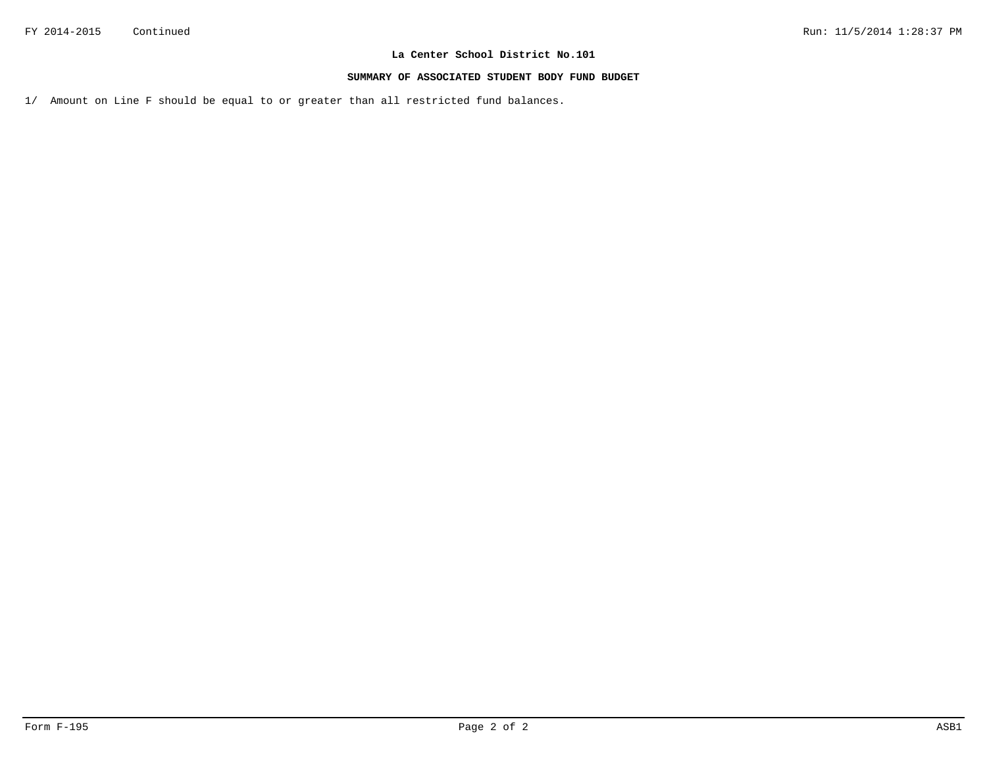#### **SUMMARY OF ASSOCIATED STUDENT BODY FUND BUDGET**

1/ Amount on Line F should be equal to or greater than all restricted fund balances.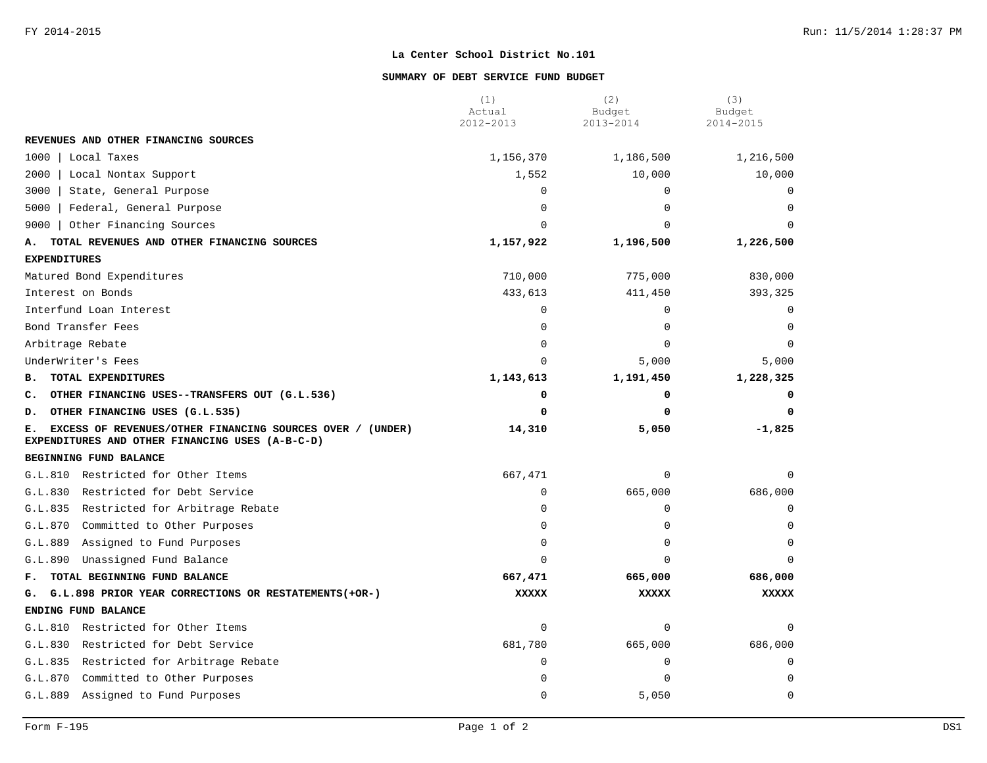#### **SUMMARY OF DEBT SERVICE FUND BUDGET**

|                                                                                                                    | (1)<br>Actual | (2)<br>Budget | (3)<br>Budget |
|--------------------------------------------------------------------------------------------------------------------|---------------|---------------|---------------|
|                                                                                                                    | 2012-2013     | 2013-2014     | 2014-2015     |
| REVENUES AND OTHER FINANCING SOURCES                                                                               |               |               |               |
| 1000<br>Local Taxes                                                                                                | 1,156,370     | 1,186,500     | 1,216,500     |
| 2000<br>Local Nontax Support                                                                                       | 1,552         | 10,000        | 10,000        |
| 3000<br>State, General Purpose                                                                                     | 0             | $\mathbf 0$   | $\Omega$      |
| 5000<br>Federal, General Purpose                                                                                   | $\mathbf 0$   | $\mathbf 0$   | $\Omega$      |
| 9000<br>Other Financing Sources                                                                                    | $\Omega$      | $\Omega$      | $\Omega$      |
| TOTAL REVENUES AND OTHER FINANCING SOURCES<br>А.                                                                   | 1,157,922     | 1,196,500     | 1,226,500     |
| <b>EXPENDITURES</b>                                                                                                |               |               |               |
| Matured Bond Expenditures                                                                                          | 710,000       | 775,000       | 830,000       |
| Interest on Bonds                                                                                                  | 433,613       | 411,450       | 393,325       |
| Interfund Loan Interest                                                                                            | $\mathbf 0$   | $\Omega$      | $\mathbf 0$   |
| Bond Transfer Fees                                                                                                 | $\Omega$      | $\Omega$      | $\Omega$      |
| Arbitrage Rebate                                                                                                   | $\Omega$      | $\Omega$      | $\Omega$      |
| UnderWriter's Fees                                                                                                 | $\Omega$      | 5,000         | 5,000         |
| TOTAL EXPENDITURES<br><b>B.</b>                                                                                    | 1,143,613     | 1,191,450     | 1,228,325     |
| OTHER FINANCING USES--TRANSFERS OUT (G.L.536)<br>c.                                                                | 0             | 0             | $\Omega$      |
| OTHER FINANCING USES (G.L.535)<br>D.                                                                               | $\Omega$      | $\Omega$      | 0             |
| EXCESS OF REVENUES/OTHER FINANCING SOURCES OVER / (UNDER)<br>Е.<br>EXPENDITURES AND OTHER FINANCING USES (A-B-C-D) | 14,310        | 5,050         | $-1,825$      |
| BEGINNING FUND BALANCE                                                                                             |               |               |               |
| G.L.810 Restricted for Other Items                                                                                 | 667,471       | $\mathbf 0$   | $\Omega$      |
| G.L.830<br>Restricted for Debt Service                                                                             | $\mathbf 0$   | 665,000       | 686,000       |
| G.L.835 Restricted for Arbitrage Rebate                                                                            | $\Omega$      | $\mathbf 0$   |               |
| G.L.870<br>Committed to Other Purposes                                                                             | $\Omega$      | $\Omega$      | $\Omega$      |
| G.L.889<br>Assigned to Fund Purposes                                                                               | 0             | $\Omega$      | $\Omega$      |
| G.L.890<br>Unassigned Fund Balance                                                                                 | $\Omega$      | $\Omega$      | O             |
| TOTAL BEGINNING FUND BALANCE<br>F.,                                                                                | 667,471       | 665,000       | 686,000       |
| G.L.898 PRIOR YEAR CORRECTIONS OR RESTATEMENTS (+OR-)<br>G.                                                        | <b>XXXXX</b>  | <b>XXXXX</b>  | <b>XXXXX</b>  |
| ENDING FUND BALANCE                                                                                                |               |               |               |
| Restricted for Other Items<br>G.L.810                                                                              | $\mathbf 0$   | $\mathbf 0$   | $\Omega$      |
| G.L.830<br>Restricted for Debt Service                                                                             | 681,780       | 665,000       | 686,000       |
| G.L.835<br>Restricted for Arbitrage Rebate                                                                         | $\Omega$      | 0             | $\Omega$      |
| Committed to Other Purposes<br>G.L.870                                                                             | $\Omega$      | $\Omega$      | $\Omega$      |
| Assigned to Fund Purposes<br>G.L.889                                                                               | $\Omega$      | 5,050         | $\Omega$      |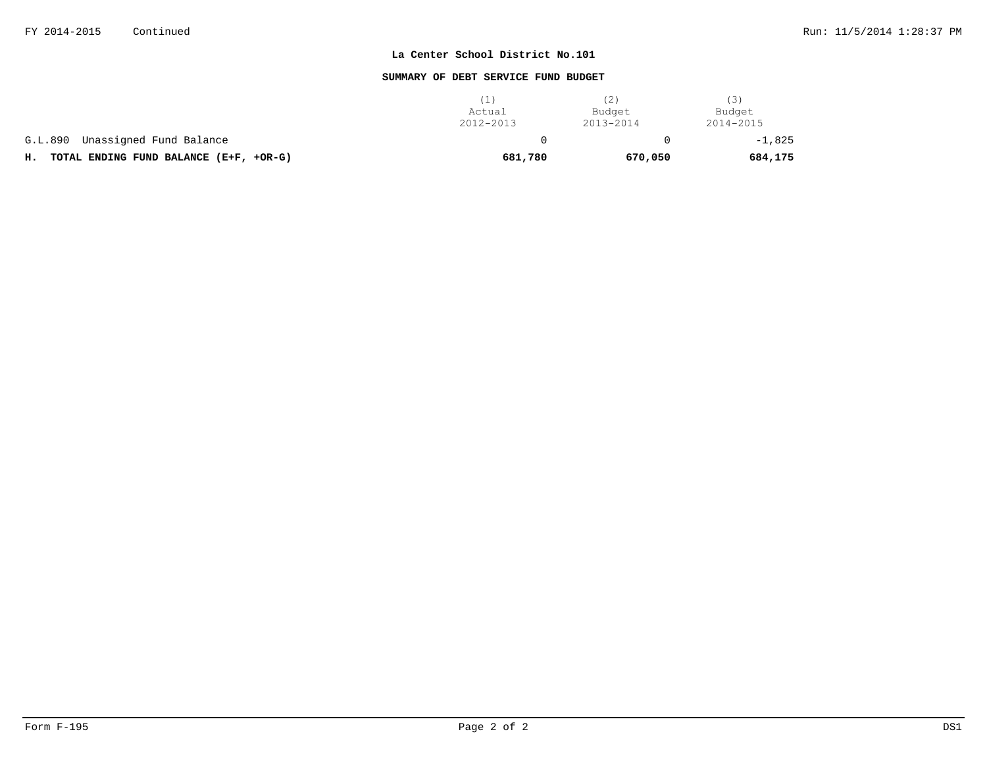### **SUMMARY OF DEBT SERVICE FUND BUDGET**

|                                              | Actual<br>2012-2013 | (Z)<br>Budget<br>2013-2014 | (3)<br>Budget<br>2014-2015 |
|----------------------------------------------|---------------------|----------------------------|----------------------------|
| G.L.890 Unassigned Fund Balance              |                     |                            | $-1,825$                   |
| TOTAL ENDING FUND BALANCE (E+F, +OR-G)<br>н. | 681,780             | 670,050                    | 684,175                    |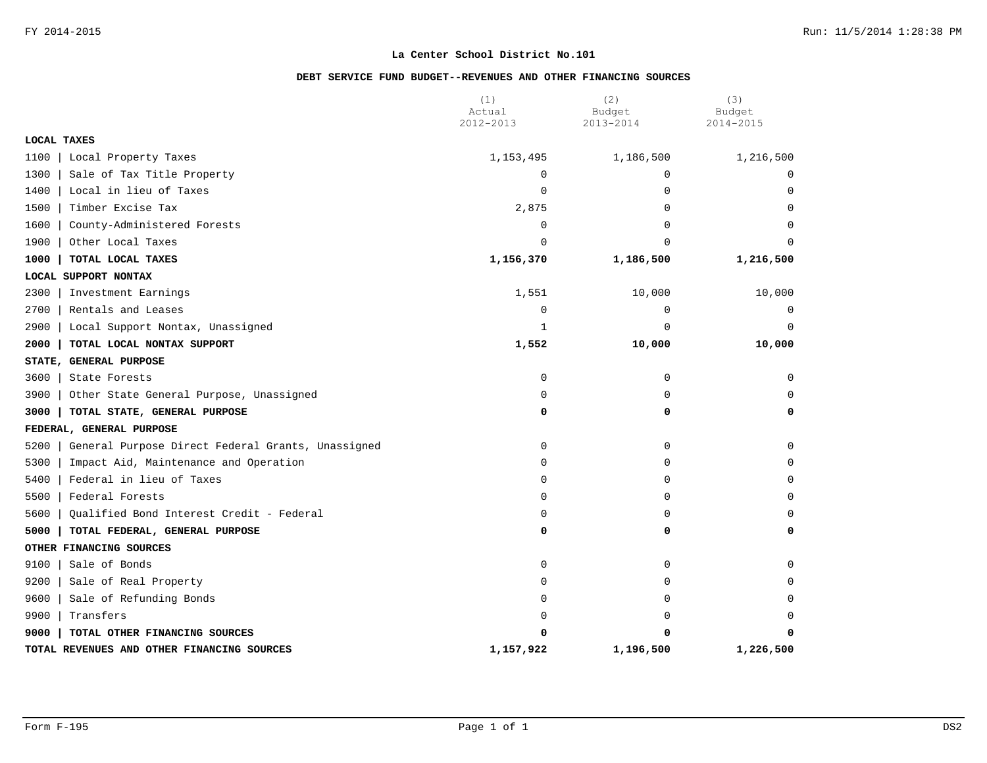### **DEBT SERVICE FUND BUDGET--REVENUES AND OTHER FINANCING SOURCES**

|                                                           | (1)<br>Actual | (2)<br>Budget | (3)<br>Budget |
|-----------------------------------------------------------|---------------|---------------|---------------|
|                                                           | 2012-2013     | 2013-2014     | 2014-2015     |
| LOCAL TAXES                                               |               |               |               |
| 1100<br>Local Property Taxes                              | 1,153,495     | 1,186,500     | 1,216,500     |
| 1300<br>Sale of Tax Title Property                        | $\mathbf 0$   | $\mathbf 0$   | $\mathbf 0$   |
| 1400<br>Local in lieu of Taxes                            | 0             | $\mathbf 0$   | $\Omega$      |
| 1500<br>Timber Excise Tax                                 | 2,875         | 0             | $\Omega$      |
| 1600<br>County-Administered Forests                       | 0             | $\Omega$      | $\Omega$      |
| 1900<br>Other Local Taxes                                 | $\Omega$      | $\Omega$      | $\Omega$      |
| 1000<br>TOTAL LOCAL TAXES                                 | 1,156,370     | 1,186,500     | 1,216,500     |
| LOCAL SUPPORT NONTAX                                      |               |               |               |
| 2300<br>Investment Earnings                               | 1,551         | 10,000        | 10,000        |
| 2700<br>Rentals and Leases                                | $\mathbf 0$   | $\mathbf 0$   | 0             |
| 2900<br>Local Support Nontax, Unassigned                  | 1             | $\Omega$      | $\Omega$      |
| 2000<br>TOTAL LOCAL NONTAX SUPPORT                        | 1,552         | 10,000        | 10,000        |
| STATE, GENERAL PURPOSE                                    |               |               |               |
| 3600<br>State Forests                                     | 0             | $\mathbf 0$   | 0             |
| 3900<br>Other State General Purpose, Unassigned           | 0             | 0             | $\Omega$      |
| 3000<br>TOTAL STATE, GENERAL PURPOSE                      | 0             | 0             | 0             |
| FEDERAL, GENERAL PURPOSE                                  |               |               |               |
| 5200<br>General Purpose Direct Federal Grants, Unassigned | 0             | 0             | $\mathbf 0$   |
| 5300<br>Impact Aid, Maintenance and Operation             | 0             | 0             | $\Omega$      |
| 5400<br>Federal in lieu of Taxes                          | $\Omega$      | $\Omega$      | $\Omega$      |
| 5500<br>Federal Forests                                   | 0             | 0             | $\mathbf 0$   |
| Qualified Bond Interest Credit - Federal<br>5600          | 0             | $\mathbf 0$   | $\Omega$      |
| 5000<br>TOTAL FEDERAL, GENERAL PURPOSE                    | 0             | 0             | 0             |
| OTHER FINANCING SOURCES                                   |               |               |               |
| 9100<br>Sale of Bonds                                     | 0             | $\mathbf 0$   | $\Omega$      |
| 9200<br>Sale of Real Property                             | 0             | 0             | 0             |
| 9600<br>Sale of Refunding Bonds                           | 0             | 0             | $\mathbf 0$   |
| 9900<br>Transfers                                         | 0             | $\mathbf 0$   | $\Omega$      |
| 9000<br>TOTAL OTHER FINANCING SOURCES                     | 0             | O             | $\Omega$      |
| TOTAL REVENUES AND OTHER FINANCING SOURCES                | 1,157,922     | 1,196,500     | 1,226,500     |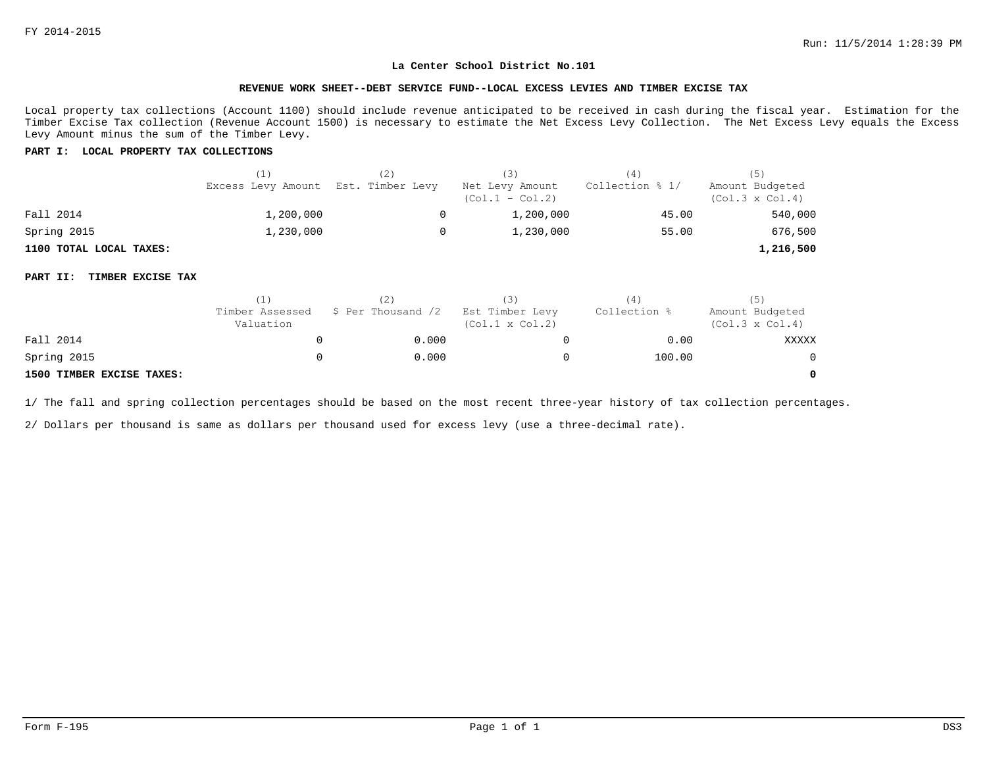#### **REVENUE WORK SHEET--DEBT SERVICE FUND--LOCAL EXCESS LEVIES AND TIMBER EXCISE TAX**

Local property tax collections (Account 1100) should include revenue anticipated to be received in cash during the fiscal year. Estimation for the Timber Excise Tax collection (Revenue Account 1500) is necessary to estimate the Net Excess Levy Collection. The Net Excess Levy equals the Excess Levy Amount minus the sum of the Timber Levy.

#### **PART I: LOCAL PROPERTY TAX COLLECTIONS**

|                         | (1)                                 | (3)                                  | (4)             |                                           |
|-------------------------|-------------------------------------|--------------------------------------|-----------------|-------------------------------------------|
|                         | Excess Levy Amount Est. Timber Levy | Net Levy Amount<br>$(Col.1 - Col.2)$ | Collection % 1/ | Amount Budgeted<br>$(Col.3 \times Col.4)$ |
| Fall 2014               | 1,200,000                           | 1,200,000                            | 45.00           | 540,000                                   |
| Spring 2015             | 1,230,000                           | 1,230,000                            | 55.00           | 676,500                                   |
| 1100 TOTAL LOCAL TAXES: |                                     |                                      |                 | 1,216,500                                 |

#### **PART II: TIMBER EXCISE TAX**

|                           |                              |                    | (3)                                       | 4            | (5)                                       |
|---------------------------|------------------------------|--------------------|-------------------------------------------|--------------|-------------------------------------------|
|                           | Timber Assessed<br>Valuation | \$ Per Thousand /2 | Est Timber Levy<br>$(Col.1 \times Col.2)$ | Collection % | Amount Budgeted<br>$(Col.3 \times Col.4)$ |
| Fall 2014                 |                              | 0.000              |                                           | 0.00         | XXXXX                                     |
| Spring 2015               |                              | 0.000              |                                           | 100.00       | $\Omega$                                  |
| 1500 TIMBER EXCISE TAXES: |                              |                    |                                           |              | 0                                         |

1/ The fall and spring collection percentages should be based on the most recent three-year history of tax collection percentages.

2/ Dollars per thousand is same as dollars per thousand used for excess levy (use a three-decimal rate).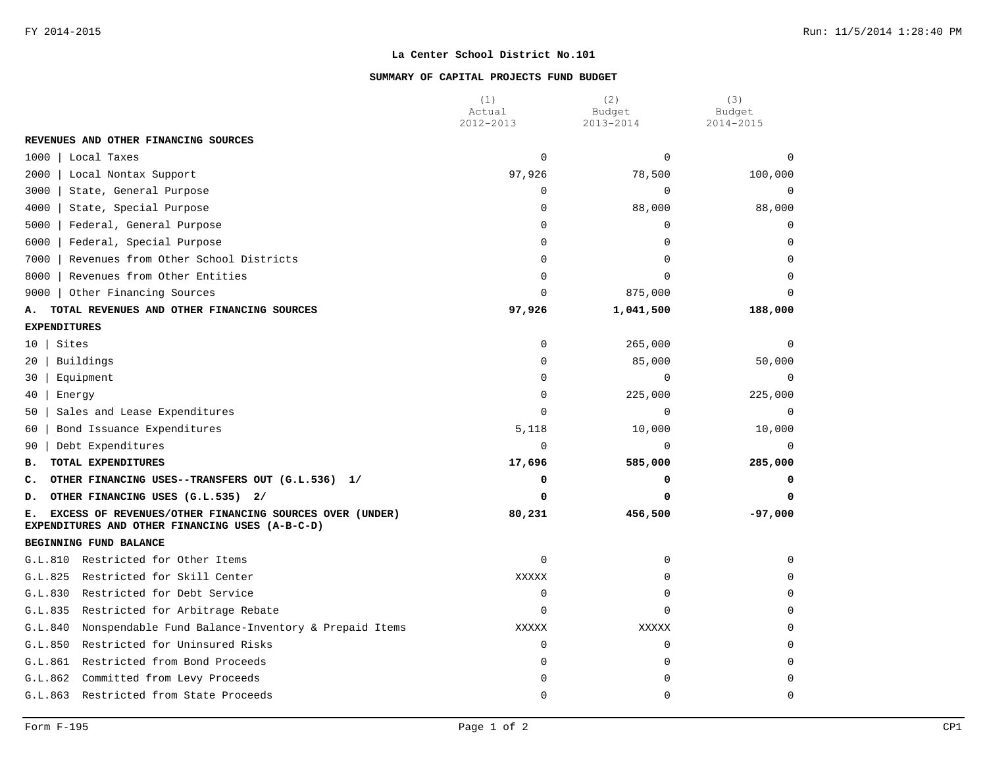### **SUMMARY OF CAPITAL PROJECTS FUND BUDGET**

|                                                                                                                  | (1)<br>Actual  | (2)<br>Budget | (3)<br>Budget |
|------------------------------------------------------------------------------------------------------------------|----------------|---------------|---------------|
|                                                                                                                  | 2012-2013      | 2013-2014     | 2014-2015     |
| REVENUES AND OTHER FINANCING SOURCES                                                                             |                |               |               |
| 1000<br>Local Taxes                                                                                              | $\Omega$       | $\Omega$      | $\Omega$      |
| 2000<br>Local Nontax Support                                                                                     | 97,926         | 78,500        | 100,000       |
| 3000<br>State, General Purpose                                                                                   | 0              | $\Omega$      | $\mathbf 0$   |
| 4000<br>State, Special Purpose                                                                                   | 0              | 88,000        | 88,000        |
| 5000<br>Federal, General Purpose                                                                                 | $\Omega$       | $\Omega$      | $\Omega$      |
| Federal, Special Purpose<br>6000                                                                                 | $\Omega$       | $\Omega$      | $\Omega$      |
| Revenues from Other School Districts<br>7000                                                                     | $\Omega$       | $\Omega$      | $\Omega$      |
| 8000<br>Revenues from Other Entities                                                                             | $\Omega$       | $\Omega$      | $\Omega$      |
| Other Financing Sources<br>9000                                                                                  | $\Omega$       | 875,000       |               |
| TOTAL REVENUES AND OTHER FINANCING SOURCES<br>А.                                                                 | 97,926         | 1,041,500     | 188,000       |
| <b>EXPENDITURES</b>                                                                                              |                |               |               |
| Sites<br>10                                                                                                      | $\mathbf 0$    | 265,000       | $\mathbf 0$   |
| Buildings<br>20                                                                                                  | 0              | 85,000        | 50,000        |
| Equipment<br>30                                                                                                  | $\overline{0}$ | $\mathbf 0$   | $\mathbf 0$   |
| 40<br>Energy                                                                                                     | $\Omega$       | 225,000       | 225,000       |
| Sales and Lease Expenditures<br>50                                                                               | $\Omega$       | $\Omega$      | $\mathbf 0$   |
| Bond Issuance Expenditures<br>60                                                                                 | 5,118          | 10,000        | 10,000        |
| Debt Expenditures<br>90                                                                                          | $\Omega$       | $\Omega$      | $\Omega$      |
| TOTAL EXPENDITURES<br>в.                                                                                         | 17,696         | 585,000       | 285,000       |
| OTHER FINANCING USES--TRANSFERS OUT (G.L.536) 1/<br>c.                                                           | 0              | 0             | 0             |
| OTHER FINANCING USES (G.L.535) 2/<br>D.                                                                          | $\Omega$       | 0             | $\Omega$      |
| EXCESS OF REVENUES/OTHER FINANCING SOURCES OVER (UNDER)<br>Е.<br>EXPENDITURES AND OTHER FINANCING USES (A-B-C-D) | 80,231         | 456,500       | $-97,000$     |
| BEGINNING FUND BALANCE                                                                                           |                |               |               |
| G.L.810 Restricted for Other Items                                                                               | $\mathbf 0$    | $\mathbf 0$   | $\Omega$      |
| Restricted for Skill Center<br>G.L.825                                                                           | XXXXX          | $\Omega$      | $\Omega$      |
| Restricted for Debt Service<br>G.L.830                                                                           | 0              | 0             | $\Omega$      |
| Restricted for Arbitrage Rebate<br>G.L.835                                                                       | $\Omega$       | $\Omega$      | $\Omega$      |
| Nonspendable Fund Balance-Inventory & Prepaid Items<br>G.L.840                                                   | XXXXX          | XXXXX         | $\Omega$      |
| G.L.850<br>Restricted for Uninsured Risks                                                                        | 0              | $\mathbf 0$   | $\Omega$      |
| G.L.861<br>Restricted from Bond Proceeds                                                                         | $\Omega$       | $\Omega$      | $\Omega$      |
| Committed from Levy Proceeds<br>G.L.862                                                                          | $\Omega$       | $\Omega$      | $\Omega$      |
| G.L.863 Restricted from State Proceeds                                                                           | $\Omega$       | $\Omega$      | $\Omega$      |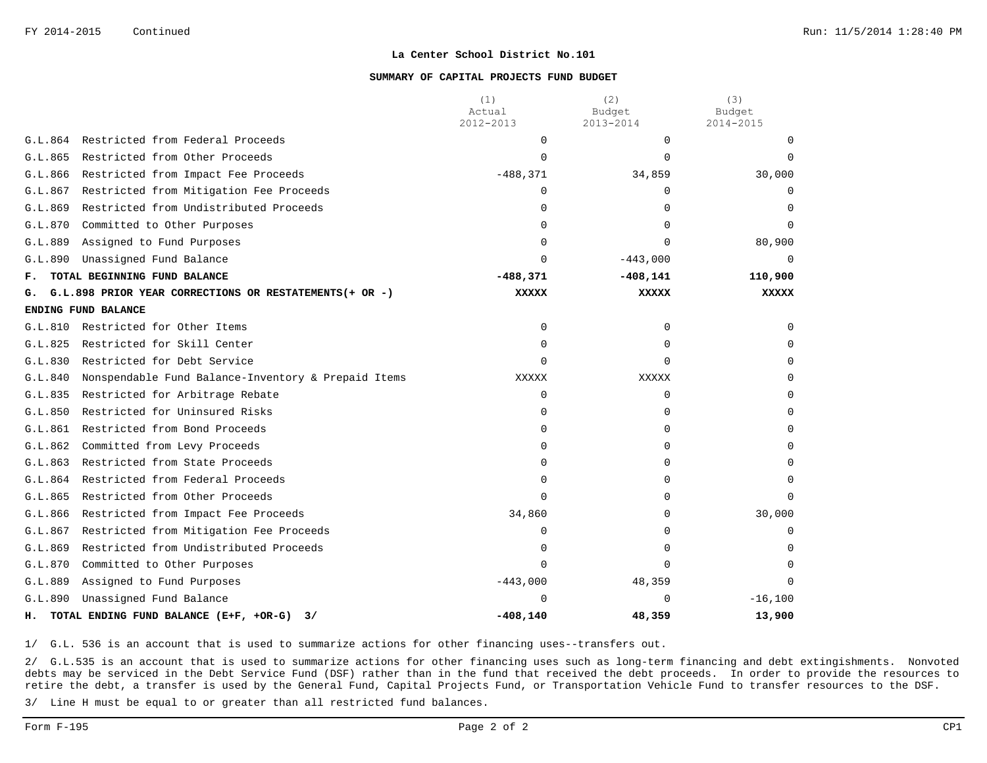#### **SUMMARY OF CAPITAL PROJECTS FUND BUDGET**

|         |                                                        | (1)<br>Actual<br>2012-2013 | (2)<br>Budget<br>2013-2014 | (3)<br>Budget<br>2014-2015 |
|---------|--------------------------------------------------------|----------------------------|----------------------------|----------------------------|
| G.L.864 | Restricted from Federal Proceeds                       | 0                          | $\Omega$                   |                            |
| G.L.865 | Restricted from Other Proceeds                         | $\Omega$                   | $\Omega$                   |                            |
| G.L.866 | Restricted from Impact Fee Proceeds                    | $-488,371$                 | 34,859                     | 30,000                     |
| G.L.867 | Restricted from Mitigation Fee Proceeds                | 0                          | <sup>0</sup>               | <sup>n</sup>               |
| G.L.869 | Restricted from Undistributed Proceeds                 | 0                          | 0                          |                            |
| G.L.870 | Committed to Other Purposes                            | 0                          | $\Omega$                   |                            |
| G.L.889 | Assigned to Fund Purposes                              | $\Omega$                   | $\Omega$                   | 80,900                     |
| G.L.890 | Unassigned Fund Balance                                | $\Omega$                   | $-443,000$                 | $\cap$                     |
| ғ.      | TOTAL BEGINNING FUND BALANCE                           | $-488,371$                 | $-408,141$                 | 110,900                    |
| G.      | G.L.898 PRIOR YEAR CORRECTIONS OR RESTATEMENTS(+ OR -) | <b>XXXXX</b>               | XXXXX                      | <b>XXXXX</b>               |
|         | ENDING FUND BALANCE                                    |                            |                            |                            |
| G.L.810 | Restricted for Other Items                             | 0                          | $\Omega$                   | <sup>n</sup>               |
| G.L.825 | Restricted for Skill Center                            | <sup>0</sup>               | $\Omega$                   |                            |
| G.L.830 | Restricted for Debt Service                            | $\Omega$                   | <sup>0</sup>               |                            |
| G.L.840 | Nonspendable Fund Balance-Inventory & Prepaid Items    | XXXXX                      | XXXXX                      | ∩                          |
| G.L.835 | Restricted for Arbitrage Rebate                        | 0                          | $\Omega$                   |                            |
| G.L.850 | Restricted for Uninsured Risks                         | 0                          | 0                          |                            |
| G.L.861 | Restricted from Bond Proceeds                          | <sup>0</sup>               | <sup>0</sup>               |                            |
| G.L.862 | Committed from Levy Proceeds                           | U                          | U                          |                            |
| G.L.863 | Restricted from State Proceeds                         | <sup>0</sup>               | <sup>0</sup>               | <sup>n</sup>               |
| G.L.864 | Restricted from Federal Proceeds                       | <sup>0</sup>               | <sup>0</sup>               | <sup>n</sup>               |
| G.L.865 | Restricted from Other Proceeds                         | 0                          | 0                          |                            |
| G.L.866 | Restricted from Impact Fee Proceeds                    | 34,860                     | $\Omega$                   | 30,000                     |
| G.L.867 | Restricted from Mitigation Fee Proceeds                | 0                          |                            | <sup>0</sup>               |
| G.L.869 | Restricted from Undistributed Proceeds                 | 0                          | <sup>n</sup>               |                            |
| G.L.870 | Committed to Other Purposes                            | $\Omega$                   | $\Omega$                   |                            |
| G.L.889 | Assigned to Fund Purposes                              | $-443,000$                 | 48,359                     |                            |
| G.L.890 | Unassigned Fund Balance                                | U                          | U                          | $-16,100$                  |
| н.      | TOTAL ENDING FUND BALANCE (E+F, +OR-G)<br>3/           | $-408, 140$                | 48,359                     | 13,900                     |

1/ G.L. 536 is an account that is used to summarize actions for other financing uses--transfers out.

2/ G.L.535 is an account that is used to summarize actions for other financing uses such as long-term financing and debt extingishments. Nonvoted debts may be serviced in the Debt Service Fund (DSF) rather than in the fund that received the debt proceeds. In order to provide the resources to retire the debt, a transfer is used by the General Fund, Capital Projects Fund, or Transportation Vehicle Fund to transfer resources to the DSF.

3/ Line H must be equal to or greater than all restricted fund balances.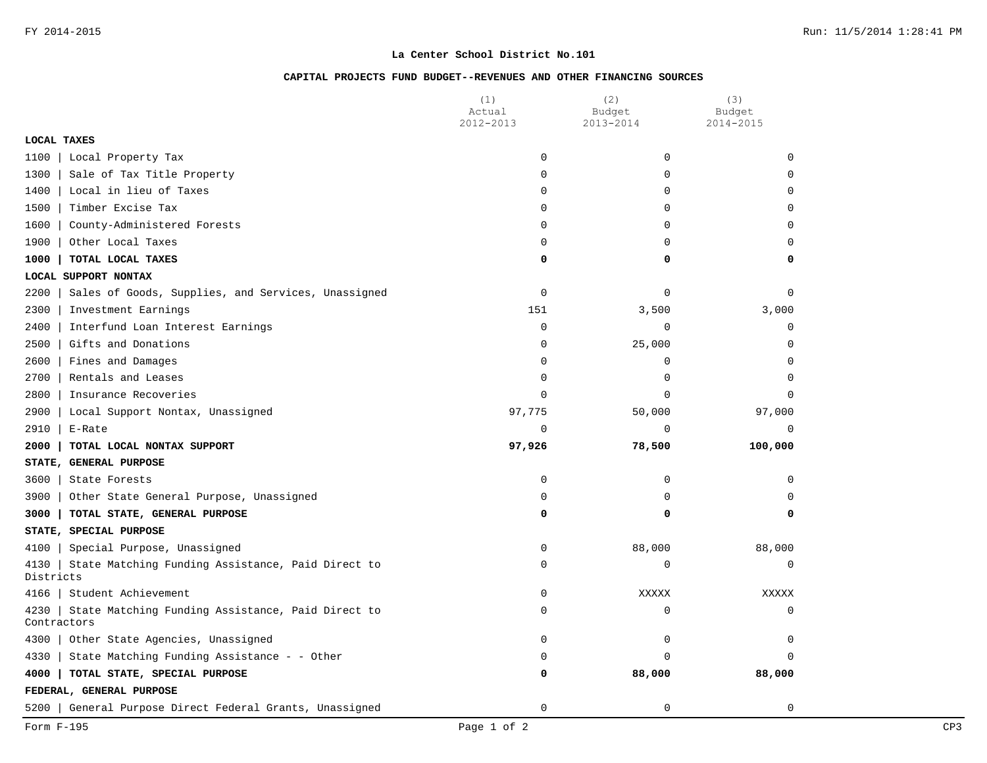## **CAPITAL PROJECTS FUND BUDGET--REVENUES AND OTHER FINANCING SOURCES**

|                                                                          | (1)<br>Actual | (2)<br>Budget | (3)<br>Budget |
|--------------------------------------------------------------------------|---------------|---------------|---------------|
| LOCAL TAXES                                                              | 2012-2013     | 2013-2014     | 2014-2015     |
| 1100                                                                     | 0             | 0             | $\Omega$      |
| Local Property Tax                                                       |               |               | $\Omega$      |
| Sale of Tax Title Property<br>1300                                       | 0             | 0             |               |
| 1400<br>Local in lieu of Taxes                                           | 0             | 0             | $\mathbf 0$   |
| 1500<br>Timber Excise Tax                                                | 0             | $\Omega$      | $\Omega$      |
| 1600<br>County-Administered Forests                                      | 0             | $\Omega$      | $\Omega$      |
| 1900<br>Other Local Taxes                                                | 0             | $\Omega$      | $\Omega$      |
| 1000<br>TOTAL LOCAL TAXES                                                | 0             | 0             | $\Omega$      |
| LOCAL SUPPORT NONTAX                                                     |               |               |               |
| 2200<br>Sales of Goods, Supplies, and Services, Unassigned               | $\mathbf 0$   | 0             | $\mathbf 0$   |
| 2300<br>Investment Earnings                                              | 151           | 3,500         | 3,000         |
| 2400<br>Interfund Loan Interest Earnings                                 | $\Omega$      | $\Omega$      | $\Omega$      |
| 2500<br>Gifts and Donations                                              | 0             | 25,000        | $\Omega$      |
| 2600<br>Fines and Damages                                                | 0             | 0             | $\Omega$      |
| 2700<br>Rentals and Leases                                               | 0             | 0             | $\Omega$      |
| 2800<br>Insurance Recoveries                                             | 0             | 0             | $\Omega$      |
| 2900<br>Local Support Nontax, Unassigned                                 | 97,775        | 50,000        | 97,000        |
| 2910<br>E-Rate                                                           | 0             | $\Omega$      | $\mathbf 0$   |
| 2000<br>TOTAL LOCAL NONTAX SUPPORT                                       | 97,926        | 78,500        | 100,000       |
| STATE, GENERAL PURPOSE                                                   |               |               |               |
| 3600<br>State Forests                                                    | 0             | 0             | $\mathbf 0$   |
| 3900<br>Other State General Purpose, Unassigned                          | $\Omega$      | $\Omega$      | $\Omega$      |
| 3000<br>TOTAL STATE, GENERAL PURPOSE                                     | 0             | 0             | 0             |
| STATE, SPECIAL PURPOSE                                                   |               |               |               |
| Special Purpose, Unassigned<br>4100                                      | 0             | 88,000        | 88,000        |
| 4130<br>State Matching Funding Assistance, Paid Direct to<br>Districts   | $\mathbf 0$   | 0             | $\Omega$      |
| 4166<br>Student Achievement                                              | 0             | XXXXX         | XXXXX         |
| State Matching Funding Assistance, Paid Direct to<br>4230<br>Contractors | 0             | 0             | $\mathbf 0$   |
| Other State Agencies, Unassigned<br>4300                                 | $\mathbf 0$   | 0             | 0             |
| 4330<br>State Matching Funding Assistance - - Other                      | $\Omega$      | $\Omega$      | $\Omega$      |
| 4000<br>TOTAL STATE, SPECIAL PURPOSE                                     | 0             | 88,000        | 88,000        |
| FEDERAL, GENERAL PURPOSE                                                 |               |               |               |
| General Purpose Direct Federal Grants, Unassigned<br>$5200$              | $\Omega$      | $\Omega$      | $\Omega$      |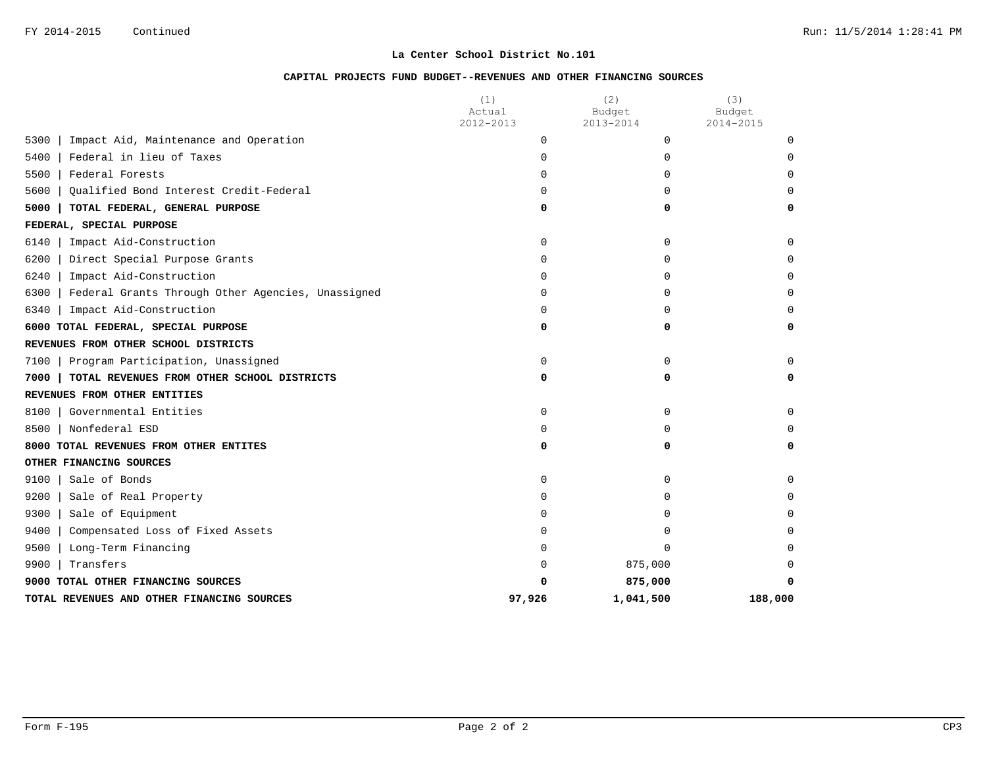# **CAPITAL PROJECTS FUND BUDGET--REVENUES AND OTHER FINANCING SOURCES**

|                                                           | (1)<br>Actual | (2)<br>Budget | (3)<br>Budget |
|-----------------------------------------------------------|---------------|---------------|---------------|
|                                                           | 2012-2013     | 2013-2014     | 2014-2015     |
| 5300<br>Impact Aid, Maintenance and Operation             | $\Omega$      | $\Omega$      | $\Omega$      |
| Federal in lieu of Taxes<br>5400                          | $\Omega$      | 0             | $\Omega$      |
| 5500<br>Federal Forests                                   | 0             | $\Omega$      | $\Omega$      |
| Qualified Bond Interest Credit-Federal<br>5600            | $\Omega$      | $\Omega$      | $\Omega$      |
| 5000<br>TOTAL FEDERAL, GENERAL PURPOSE                    | 0             | 0             | 0             |
| FEDERAL, SPECIAL PURPOSE                                  |               |               |               |
| 6140<br>Impact Aid-Construction                           | 0             | 0             | 0             |
| 6200<br>Direct Special Purpose Grants                     | $\Omega$      | 0             | $\Omega$      |
| 6240<br>Impact Aid-Construction                           | $\Omega$      | 0             | $\Omega$      |
| 6300<br>Federal Grants Through Other Agencies, Unassigned | $\Omega$      | 0             | $\Omega$      |
| 6340<br>Impact Aid-Construction                           | $\Omega$      | 0             | $\Omega$      |
| 6000 TOTAL FEDERAL, SPECIAL PURPOSE                       | 0             | 0             | 0             |
| REVENUES FROM OTHER SCHOOL DISTRICTS                      |               |               |               |
| 7100<br>Program Participation, Unassigned                 | $\Omega$      | 0             | $\Omega$      |
| 7000<br>TOTAL REVENUES FROM OTHER SCHOOL DISTRICTS        | 0             | 0             | 0             |
| REVENUES FROM OTHER ENTITIES                              |               |               |               |
| 8100<br>Governmental Entities                             | $\mathbf 0$   | $\Omega$      | $\Omega$      |
| Nonfederal ESD<br>8500                                    | 0             | 0             | $\Omega$      |
| 8000 TOTAL REVENUES FROM OTHER ENTITES                    | 0             | 0             | 0             |
| OTHER FINANCING SOURCES                                   |               |               |               |
| 9100<br>Sale of Bonds                                     | $\Omega$      | 0             | $\Omega$      |
| 9200<br>Sale of Real Property                             | $\Omega$      | 0             | $\Omega$      |
| 9300<br>Sale of Equipment                                 | 0             | 0             | $\Omega$      |
| 9400<br>Compensated Loss of Fixed Assets                  | $\Omega$      | 0             | $\Omega$      |
| 9500<br>Long-Term Financing                               | $\Omega$      | 0             | $\Omega$      |
| 9900<br>Transfers                                         | 0             | 875,000       | $\Omega$      |
| 9000 TOTAL OTHER FINANCING SOURCES                        | ŋ             | 875,000       | 0             |
| TOTAL REVENUES AND OTHER FINANCING SOURCES                | 97,926        | 1,041,500     | 188,000       |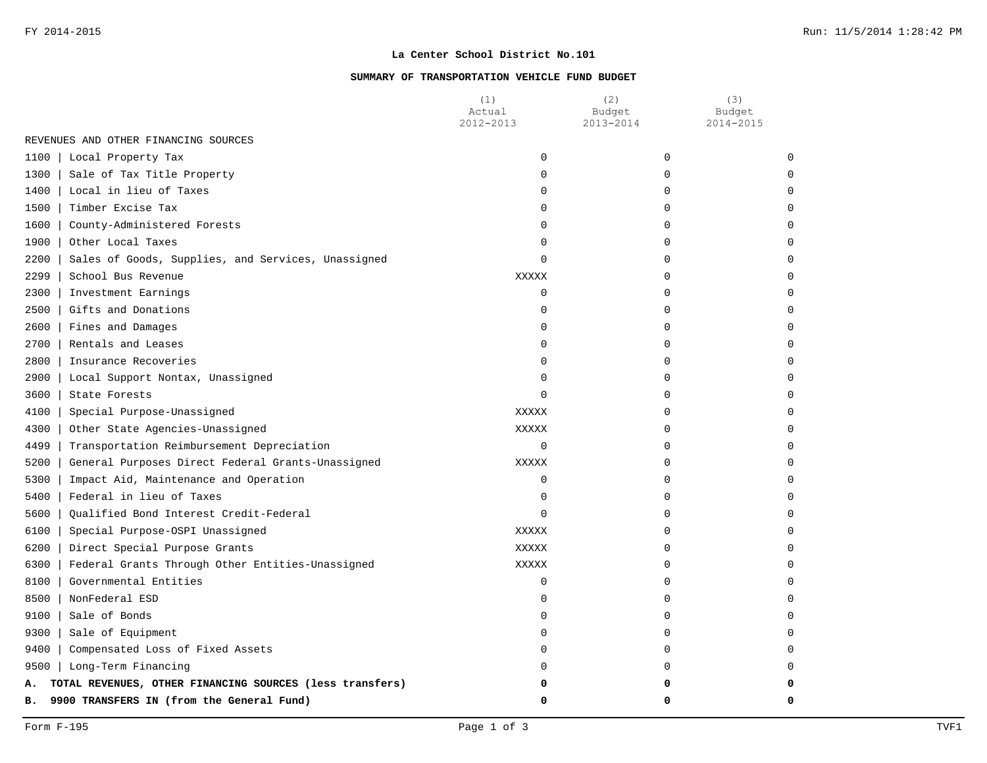### **SUMMARY OF TRANSPORTATION VEHICLE FUND BUDGET**

|                                                                | (1)<br>Actual<br>2012-2013 | (2)<br>Budget<br>2013-2014 | (3)<br>Budget<br>2014-2015 |
|----------------------------------------------------------------|----------------------------|----------------------------|----------------------------|
| REVENUES AND OTHER FINANCING SOURCES                           |                            |                            |                            |
| 1100<br>Local Property Tax                                     | $\mathbf 0$                | 0                          | $\Omega$                   |
| Sale of Tax Title Property<br>1300                             | $\Omega$                   | $\Omega$                   |                            |
| 1400   Local in lieu of Taxes                                  | $\Omega$                   | $\Omega$                   |                            |
| 1500<br>Timber Excise Tax                                      | 0                          | 0                          |                            |
| 1600   County-Administered Forests                             | $\Omega$                   | 0                          |                            |
| 1900   Other Local Taxes                                       | 0                          | 0                          |                            |
| Sales of Goods, Supplies, and Services, Unassigned<br>2200     | $\Omega$                   | 0                          |                            |
| 2299<br>School Bus Revenue                                     | <b>XXXXX</b>               | 0                          |                            |
| 2300<br>Investment Earnings                                    | 0                          | $\Omega$                   |                            |
| Gifts and Donations<br>$2500$                                  | 0                          | 0                          |                            |
| 2600   Fines and Damages                                       | $\Omega$                   | U                          |                            |
| 2700   Rentals and Leases                                      | $\Omega$                   | U                          |                            |
| 2800<br>Insurance Recoveries                                   | $\Omega$                   | U                          |                            |
| 2900<br>Local Support Nontax, Unassigned                       | 0                          | $\Omega$                   |                            |
| 3600<br>State Forests                                          | $\Omega$                   | 0                          |                            |
| 4100<br>Special Purpose-Unassigned                             | <b>XXXXX</b>               | 0                          |                            |
| 4300<br>Other State Agencies-Unassigned                        | XXXXX                      | $\Omega$                   |                            |
| 4499<br>Transportation Reimbursement Depreciation              | 0                          | 0                          |                            |
| 5200<br>General Purposes Direct Federal Grants-Unassigned      | XXXXX                      | 0                          |                            |
| 5300<br>Impact Aid, Maintenance and Operation                  | 0                          | U                          |                            |
| 5400<br>Federal in lieu of Taxes                               | 0                          | 0                          |                            |
| 5600<br>Qualified Bond Interest Credit-Federal                 | $\Omega$                   | 0                          |                            |
| 6100<br>Special Purpose-OSPI Unassigned                        | <b>XXXXX</b>               | 0                          |                            |
| 6200<br>Direct Special Purpose Grants                          | XXXXX                      | 0                          |                            |
| 6300  <br>Federal Grants Through Other Entities-Unassigned     | <b>XXXXX</b>               | 0                          |                            |
| $8100$  <br>Governmental Entities                              | $\Omega$                   | <sup>0</sup>               |                            |
| $8500$  <br>NonFederal ESD                                     | $\Omega$                   | $\Omega$                   |                            |
| 9100<br>Sale of Bonds                                          | 0                          | 0                          |                            |
| 9300<br>Sale of Equipment                                      | $\Omega$                   | 0                          |                            |
| $9400$  <br>Compensated Loss of Fixed Assets                   | $\Omega$                   | 0                          |                            |
| 9500   Long-Term Financing                                     | $\Omega$                   | $\Omega$                   |                            |
| TOTAL REVENUES, OTHER FINANCING SOURCES (less transfers)<br>А. |                            | 0                          |                            |
| 9900 TRANSFERS IN (from the General Fund)<br>в.                | 0                          | 0                          | O                          |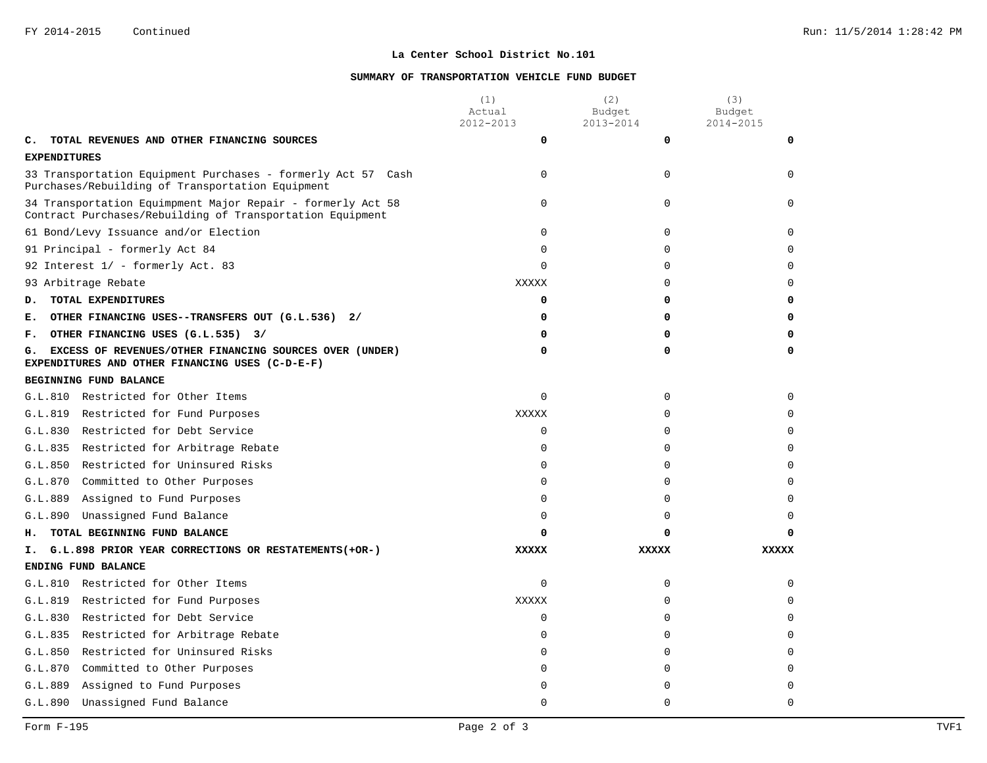### **SUMMARY OF TRANSPORTATION VEHICLE FUND BUDGET**

|                     |                                                                                                                          | (1)<br>Actual<br>2012-2013 | (2)<br>Budget<br>2013-2014 | (3)<br>Budget<br>2014-2015 |
|---------------------|--------------------------------------------------------------------------------------------------------------------------|----------------------------|----------------------------|----------------------------|
| c.                  | TOTAL REVENUES AND OTHER FINANCING SOURCES                                                                               | 0                          | 0                          | 0                          |
| <b>EXPENDITURES</b> |                                                                                                                          |                            |                            |                            |
|                     | 33 Transportation Equipment Purchases - formerly Act 57 Cash<br>Purchases/Rebuilding of Transportation Equipment         | $\Omega$                   | $\Omega$                   | $\Omega$                   |
|                     | 34 Transportation Equimpment Major Repair - formerly Act 58<br>Contract Purchases/Rebuilding of Transportation Equipment | 0                          | 0                          | $\Omega$                   |
|                     | 61 Bond/Levy Issuance and/or Election                                                                                    | 0                          | 0                          | $\Omega$                   |
|                     | 91 Principal - formerly Act 84                                                                                           | 0                          | $\mathbf 0$                | $\Omega$                   |
|                     | 92 Interest 1/ - formerly Act. 83                                                                                        | 0                          | $\mathbf 0$                | $\Omega$                   |
|                     | 93 Arbitrage Rebate                                                                                                      | XXXXX                      | $\Omega$                   | $\Omega$                   |
| D.                  | TOTAL EXPENDITURES                                                                                                       | 0                          | 0                          | 0                          |
| Е.                  | OTHER FINANCING USES--TRANSFERS OUT (G.L.536) 2/                                                                         | 0                          | 0                          | $\Omega$                   |
| г.                  | OTHER FINANCING USES (G.L.535) 3/                                                                                        | 0                          | 0                          | 0                          |
| G.                  | EXCESS OF REVENUES/OTHER FINANCING SOURCES OVER (UNDER)<br>EXPENDITURES AND OTHER FINANCING USES (C-D-E-F)               | 0                          | 0                          | 0                          |
|                     | BEGINNING FUND BALANCE                                                                                                   |                            |                            |                            |
|                     | G.L.810 Restricted for Other Items                                                                                       | $\Omega$                   | $\Omega$                   | $\Omega$                   |
|                     | G.L.819 Restricted for Fund Purposes                                                                                     | XXXXX                      | 0                          | $\Omega$                   |
|                     | G.L.830 Restricted for Debt Service                                                                                      | 0                          | $\mathbf 0$                | $\Omega$                   |
|                     | G.L.835 Restricted for Arbitrage Rebate                                                                                  | 0                          | $\mathbf 0$                | $\Omega$                   |
| G.L.850             | Restricted for Uninsured Risks                                                                                           | $\Omega$                   | $\Omega$                   | $\Omega$                   |
| G.L.870             | Committed to Other Purposes                                                                                              | 0                          | 0                          | $\Omega$                   |
| G.L.889             | Assigned to Fund Purposes                                                                                                | 0                          | 0                          | $\Omega$                   |
| G.L.890             | Unassigned Fund Balance                                                                                                  | $\Omega$                   | $\Omega$                   | $\Omega$                   |
| н.                  | TOTAL BEGINNING FUND BALANCE                                                                                             | 0                          | 0                          | O                          |
| т.                  | G.L.898 PRIOR YEAR CORRECTIONS OR RESTATEMENTS (+OR-)                                                                    | <b>XXXXX</b>               | <b>XXXXX</b>               | <b>XXXXX</b>               |
|                     | ENDING FUND BALANCE                                                                                                      |                            |                            |                            |
|                     | G.L.810 Restricted for Other Items                                                                                       | 0                          | $\mathbf 0$                | $\Omega$                   |
| G.L.819             | Restricted for Fund Purposes                                                                                             | <b>XXXXX</b>               | $\mathbf 0$                | $\Omega$                   |
| G.L.830             | Restricted for Debt Service                                                                                              | 0                          | $\Omega$                   | $\Omega$                   |
| G.L.835             | Restricted for Arbitrage Rebate                                                                                          | 0                          | $\mathbf 0$                | $\Omega$                   |
| G.L.850             | Restricted for Uninsured Risks                                                                                           | 0                          | 0                          | $\Omega$                   |
| G.L.870             | Committed to Other Purposes                                                                                              | $\Omega$                   | $\Omega$                   | $\Omega$                   |
| G.L.889             | Assigned to Fund Purposes                                                                                                | 0                          | $\Omega$                   | $\Omega$                   |
| G.L.890             | Unassigned Fund Balance                                                                                                  | $\Omega$                   | $\Omega$                   | $\Omega$                   |